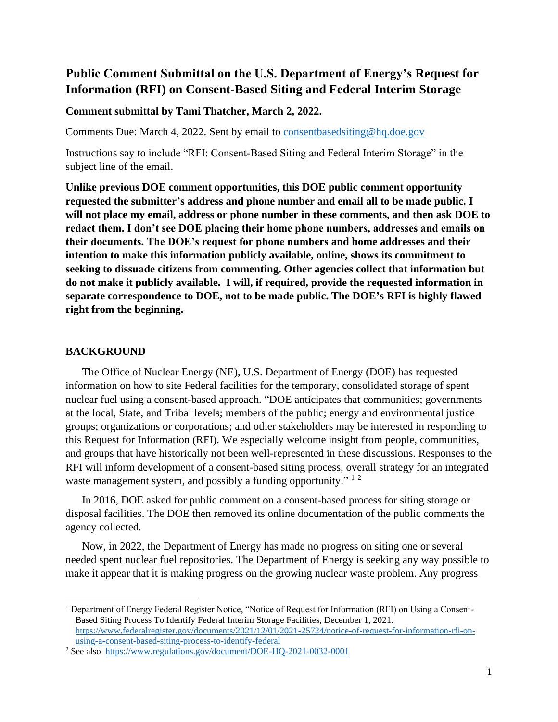# **Public Comment Submittal on the U.S. Department of Energy's Request for Information (RFI) on Consent-Based Siting and Federal Interim Storage**

#### **Comment submittal by Tami Thatcher, March 2, 2022.**

Comments Due: March 4, 2022. Sent by email to [consentbasedsiting@hq.doe.gov](mailto:consentbasedsiting@hq.doe.gov)

Instructions say to include "RFI: Consent-Based Siting and Federal Interim Storage" in the subject line of the email.

**Unlike previous DOE comment opportunities, this DOE public comment opportunity requested the submitter's address and phone number and email all to be made public. I will not place my email, address or phone number in these comments, and then ask DOE to redact them. I don't see DOE placing their home phone numbers, addresses and emails on their documents. The DOE's request for phone numbers and home addresses and their intention to make this information publicly available, online, shows its commitment to seeking to dissuade citizens from commenting. Other agencies collect that information but do not make it publicly available. I will, if required, provide the requested information in separate correspondence to DOE, not to be made public. The DOE's RFI is highly flawed right from the beginning.**

#### **BACKGROUND**

The Office of Nuclear Energy (NE), U.S. Department of Energy (DOE) has requested information on how to site Federal facilities for the temporary, consolidated storage of spent nuclear fuel using a consent-based approach. "DOE anticipates that communities; governments at the local, State, and Tribal levels; members of the public; energy and environmental justice groups; organizations or corporations; and other stakeholders may be interested in responding to this Request for Information (RFI). We especially welcome insight from people, communities, and groups that have historically not been well-represented in these discussions. Responses to the RFI will inform development of a consent-based siting process, overall strategy for an integrated waste management system, and possibly a funding opportunity."  $1<sup>2</sup>$ 

In 2016, DOE asked for public comment on a consent-based process for siting storage or disposal facilities. The DOE then removed its online documentation of the public comments the agency collected.

Now, in 2022, the Department of Energy has made no progress on siting one or several needed spent nuclear fuel repositories. The Department of Energy is seeking any way possible to make it appear that it is making progress on the growing nuclear waste problem. Any progress

<sup>1</sup> Department of Energy Federal Register Notice, "Notice of Request for Information (RFI) on Using a Consent-Based Siting Process To Identify Federal Interim Storage Facilities, December 1, 2021. [https://www.federalregister.gov/documents/2021/12/01/2021-25724/notice-of-request-for-information-rfi-on](https://www.federalregister.gov/documents/2021/12/01/2021-25724/notice-of-request-for-information-rfi-on-using-a-consent-based-siting-process-to-identify-federal)[using-a-consent-based-siting-process-to-identify-federal](https://www.federalregister.gov/documents/2021/12/01/2021-25724/notice-of-request-for-information-rfi-on-using-a-consent-based-siting-process-to-identify-federal)

<sup>2</sup> See also <https://www.regulations.gov/document/DOE-HQ-2021-0032-0001>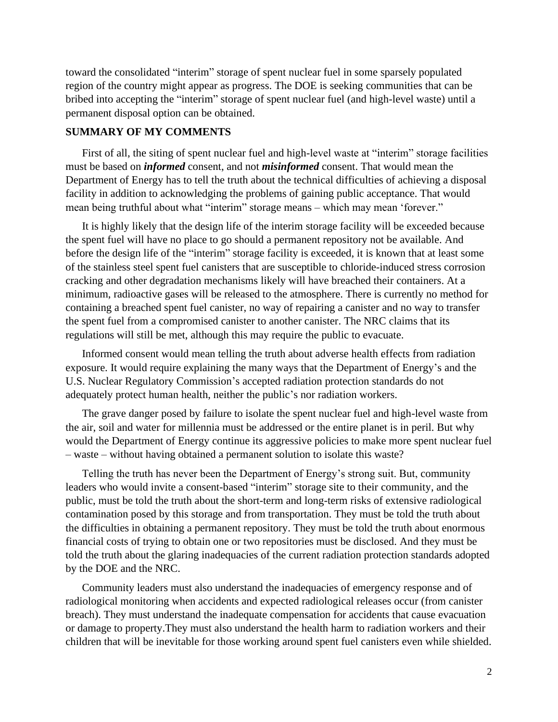toward the consolidated "interim" storage of spent nuclear fuel in some sparsely populated region of the country might appear as progress. The DOE is seeking communities that can be bribed into accepting the "interim" storage of spent nuclear fuel (and high-level waste) until a permanent disposal option can be obtained.

#### **SUMMARY OF MY COMMENTS**

First of all, the siting of spent nuclear fuel and high-level waste at "interim" storage facilities must be based on *informed* consent, and not *misinformed* consent. That would mean the Department of Energy has to tell the truth about the technical difficulties of achieving a disposal facility in addition to acknowledging the problems of gaining public acceptance. That would mean being truthful about what "interim" storage means – which may mean 'forever."

It is highly likely that the design life of the interim storage facility will be exceeded because the spent fuel will have no place to go should a permanent repository not be available. And before the design life of the "interim" storage facility is exceeded, it is known that at least some of the stainless steel spent fuel canisters that are susceptible to chloride-induced stress corrosion cracking and other degradation mechanisms likely will have breached their containers. At a minimum, radioactive gases will be released to the atmosphere. There is currently no method for containing a breached spent fuel canister, no way of repairing a canister and no way to transfer the spent fuel from a compromised canister to another canister. The NRC claims that its regulations will still be met, although this may require the public to evacuate.

Informed consent would mean telling the truth about adverse health effects from radiation exposure. It would require explaining the many ways that the Department of Energy's and the U.S. Nuclear Regulatory Commission's accepted radiation protection standards do not adequately protect human health, neither the public's nor radiation workers.

The grave danger posed by failure to isolate the spent nuclear fuel and high-level waste from the air, soil and water for millennia must be addressed or the entire planet is in peril. But why would the Department of Energy continue its aggressive policies to make more spent nuclear fuel – waste – without having obtained a permanent solution to isolate this waste?

Telling the truth has never been the Department of Energy's strong suit. But, community leaders who would invite a consent-based "interim" storage site to their community, and the public, must be told the truth about the short-term and long-term risks of extensive radiological contamination posed by this storage and from transportation. They must be told the truth about the difficulties in obtaining a permanent repository. They must be told the truth about enormous financial costs of trying to obtain one or two repositories must be disclosed. And they must be told the truth about the glaring inadequacies of the current radiation protection standards adopted by the DOE and the NRC.

Community leaders must also understand the inadequacies of emergency response and of radiological monitoring when accidents and expected radiological releases occur (from canister breach). They must understand the inadequate compensation for accidents that cause evacuation or damage to property.They must also understand the health harm to radiation workers and their children that will be inevitable for those working around spent fuel canisters even while shielded.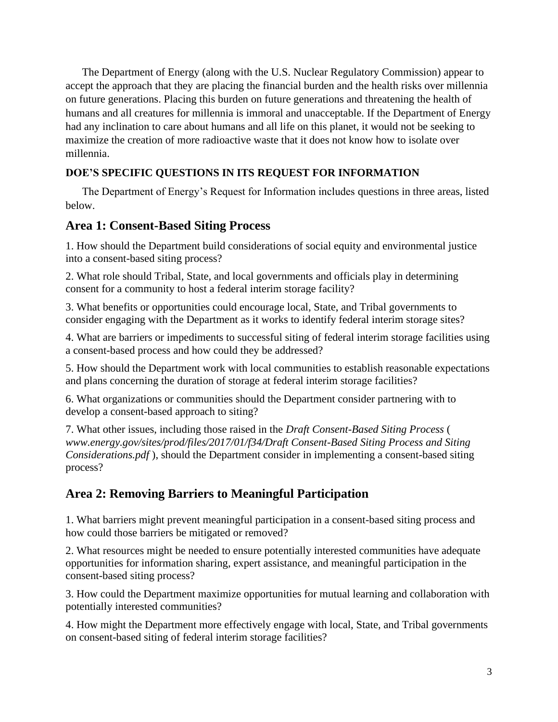The Department of Energy (along with the U.S. Nuclear Regulatory Commission) appear to accept the approach that they are placing the financial burden and the health risks over millennia on future generations. Placing this burden on future generations and threatening the health of humans and all creatures for millennia is immoral and unacceptable. If the Department of Energy had any inclination to care about humans and all life on this planet, it would not be seeking to maximize the creation of more radioactive waste that it does not know how to isolate over millennia.

# **DOE'S SPECIFIC QUESTIONS IN ITS REQUEST FOR INFORMATION**

The Department of Energy's Request for Information includes questions in three areas, listed below.

# **Area 1: Consent-Based Siting Process**

1. How should the Department build considerations of social equity and environmental justice into a consent-based siting process?

2. What role should Tribal, State, and local governments and officials play in determining consent for a community to host a federal interim storage facility?

3. What benefits or opportunities could encourage local, State, and Tribal governments to consider engaging with the Department as it works to identify federal interim storage sites?

4. What are barriers or impediments to successful siting of federal interim storage facilities using a consent-based process and how could they be addressed?

5. How should the Department work with local communities to establish reasonable expectations and plans concerning the duration of storage at federal interim storage facilities?

6. What organizations or communities should the Department consider partnering with to develop a consent-based approach to siting?

7. What other issues, including those raised in the *Draft Consent-Based Siting Process* ( *www.energy.gov/sites/prod/files/2017/01/f34/Draft Consent-Based Siting Process and Siting Considerations.pdf* ), should the Department consider in implementing a consent-based siting process?

# **Area 2: Removing Barriers to Meaningful Participation**

1. What barriers might prevent meaningful participation in a consent-based siting process and how could those barriers be mitigated or removed?

2. What resources might be needed to ensure potentially interested communities have adequate opportunities for information sharing, expert assistance, and meaningful participation in the consent-based siting process?

3. How could the Department maximize opportunities for mutual learning and collaboration with potentially interested communities?

4. How might the Department more effectively engage with local, State, and Tribal governments on consent-based siting of federal interim storage facilities?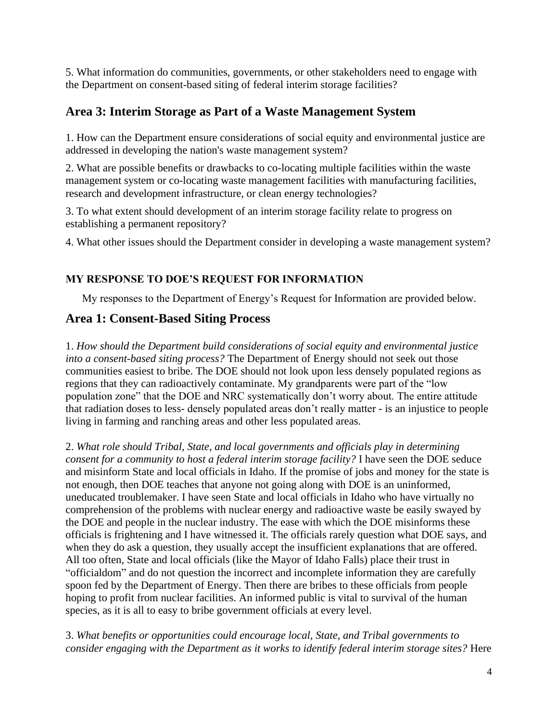5. What information do communities, governments, or other stakeholders need to engage with the Department on consent-based siting of federal interim storage facilities?

# **Area 3: Interim Storage as Part of a Waste Management System**

1. How can the Department ensure considerations of social equity and environmental justice are addressed in developing the nation's waste management system?

2. What are possible benefits or drawbacks to co-locating multiple facilities within the waste management system or co-locating waste management facilities with manufacturing facilities, research and development infrastructure, or clean energy technologies?

3. To what extent should development of an interim storage facility relate to progress on establishing a permanent repository?

4. What other issues should the Department consider in developing a waste management system?

# **MY RESPONSE TO DOE'S REQUEST FOR INFORMATION**

My responses to the Department of Energy's Request for Information are provided below.

# **Area 1: Consent-Based Siting Process**

1. *How should the Department build considerations of social equity and environmental justice into a consent-based siting process?* The Department of Energy should not seek out those communities easiest to bribe. The DOE should not look upon less densely populated regions as regions that they can radioactively contaminate. My grandparents were part of the "low population zone" that the DOE and NRC systematically don't worry about. The entire attitude that radiation doses to less- densely populated areas don't really matter - is an injustice to people living in farming and ranching areas and other less populated areas.

2. *What role should Tribal, State, and local governments and officials play in determining consent for a community to host a federal interim storage facility?* I have seen the DOE seduce and misinform State and local officials in Idaho. If the promise of jobs and money for the state is not enough, then DOE teaches that anyone not going along with DOE is an uninformed, uneducated troublemaker. I have seen State and local officials in Idaho who have virtually no comprehension of the problems with nuclear energy and radioactive waste be easily swayed by the DOE and people in the nuclear industry. The ease with which the DOE misinforms these officials is frightening and I have witnessed it. The officials rarely question what DOE says, and when they do ask a question, they usually accept the insufficient explanations that are offered. All too often, State and local officials (like the Mayor of Idaho Falls) place their trust in "officialdom" and do not question the incorrect and incomplete information they are carefully spoon fed by the Department of Energy. Then there are bribes to these officials from people hoping to profit from nuclear facilities. An informed public is vital to survival of the human species, as it is all to easy to bribe government officials at every level.

3. *What benefits or opportunities could encourage local, State, and Tribal governments to consider engaging with the Department as it works to identify federal interim storage sites?* Here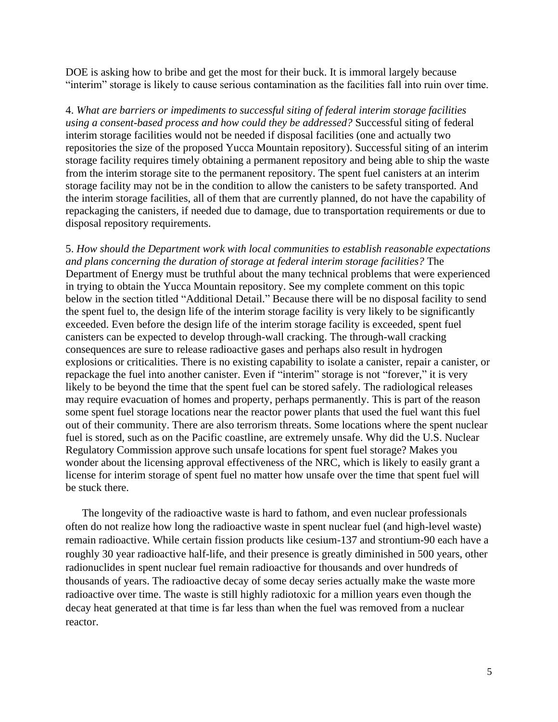DOE is asking how to bribe and get the most for their buck. It is immoral largely because "interim" storage is likely to cause serious contamination as the facilities fall into ruin over time.

4. *What are barriers or impediments to successful siting of federal interim storage facilities using a consent-based process and how could they be addressed?* Successful siting of federal interim storage facilities would not be needed if disposal facilities (one and actually two repositories the size of the proposed Yucca Mountain repository). Successful siting of an interim storage facility requires timely obtaining a permanent repository and being able to ship the waste from the interim storage site to the permanent repository. The spent fuel canisters at an interim storage facility may not be in the condition to allow the canisters to be safety transported. And the interim storage facilities, all of them that are currently planned, do not have the capability of repackaging the canisters, if needed due to damage, due to transportation requirements or due to disposal repository requirements.

5. *How should the Department work with local communities to establish reasonable expectations and plans concerning the duration of storage at federal interim storage facilities?* The Department of Energy must be truthful about the many technical problems that were experienced in trying to obtain the Yucca Mountain repository. See my complete comment on this topic below in the section titled "Additional Detail." Because there will be no disposal facility to send the spent fuel to, the design life of the interim storage facility is very likely to be significantly exceeded. Even before the design life of the interim storage facility is exceeded, spent fuel canisters can be expected to develop through-wall cracking. The through-wall cracking consequences are sure to release radioactive gases and perhaps also result in hydrogen explosions or criticalities. There is no existing capability to isolate a canister, repair a canister, or repackage the fuel into another canister. Even if "interim" storage is not "forever," it is very likely to be beyond the time that the spent fuel can be stored safely. The radiological releases may require evacuation of homes and property, perhaps permanently. This is part of the reason some spent fuel storage locations near the reactor power plants that used the fuel want this fuel out of their community. There are also terrorism threats. Some locations where the spent nuclear fuel is stored, such as on the Pacific coastline, are extremely unsafe. Why did the U.S. Nuclear Regulatory Commission approve such unsafe locations for spent fuel storage? Makes you wonder about the licensing approval effectiveness of the NRC, which is likely to easily grant a license for interim storage of spent fuel no matter how unsafe over the time that spent fuel will be stuck there.

The longevity of the radioactive waste is hard to fathom, and even nuclear professionals often do not realize how long the radioactive waste in spent nuclear fuel (and high-level waste) remain radioactive. While certain fission products like cesium-137 and strontium-90 each have a roughly 30 year radioactive half-life, and their presence is greatly diminished in 500 years, other radionuclides in spent nuclear fuel remain radioactive for thousands and over hundreds of thousands of years. The radioactive decay of some decay series actually make the waste more radioactive over time. The waste is still highly radiotoxic for a million years even though the decay heat generated at that time is far less than when the fuel was removed from a nuclear reactor.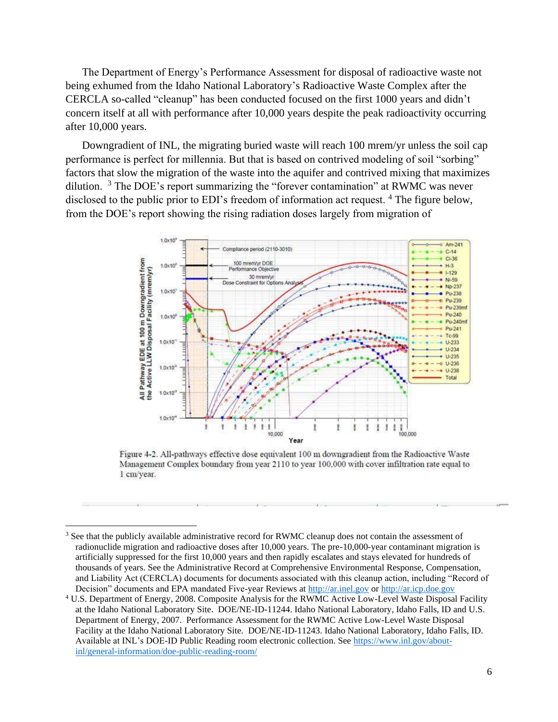The Department of Energy's Performance Assessment for disposal of radioactive waste not being exhumed from the Idaho National Laboratory's Radioactive Waste Complex after the CERCLA so-called "cleanup" has been conducted focused on the first 1000 years and didn't concern itself at all with performance after 10,000 years despite the peak radioactivity occurring after 10,000 years.

Downgradient of INL, the migrating buried waste will reach 100 mrem/yr unless the soil cap performance is perfect for millennia. But that is based on contrived modeling of soil "sorbing" factors that slow the migration of the waste into the aquifer and contrived mixing that maximizes dilution. <sup>3</sup> The DOE's report summarizing the "forever contamination" at RWMC was never disclosed to the public prior to EDI's freedom of information act request. <sup>4</sup> The figure below, from the DOE's report showing the rising radiation doses largely from migration of



Figure 4-2. All-pathways effective dose equivalent 100 m downgradient from the Radioactive Waste Management Complex boundary from year 2110 to year 100,000 with cover infiltration rate equal to 1 cm/year.

<sup>&</sup>lt;sup>3</sup> See that the publicly available administrative record for RWMC cleanup does not contain the assessment of radionuclide migration and radioactive doses after 10,000 years. The pre-10,000-year contaminant migration is artificially suppressed for the first 10,000 years and then rapidly escalates and stays elevated for hundreds of thousands of years. See the Administrative Record at Comprehensive Environmental Response, Compensation, and Liability Act (CERCLA) documents for documents associated with this cleanup action, including "Record of Decision" documents and EPA mandated Five-year Reviews at [http://ar.inel.gov](http://ar.inel.gov/) or [http://ar.icp.doe.gov](http://ar.icp.doe.gov/)

<sup>4</sup> U.S. Department of Energy, 2008. Composite Analysis for the RWMC Active Low-Level Waste Disposal Facility at the Idaho National Laboratory Site. DOE/NE-ID-11244. Idaho National Laboratory, Idaho Falls, ID and U.S. Department of Energy, 2007. Performance Assessment for the RWMC Active Low-Level Waste Disposal Facility at the Idaho National Laboratory Site. DOE/NE-ID-11243. Idaho National Laboratory, Idaho Falls, ID. Available at INL's DOE-ID Public Reading room electronic collection. See [https://www.inl.gov/about](https://www.inl.gov/about-inl/general-information/doe-public-reading-room/)[inl/general-information/doe-public-reading-room/](https://www.inl.gov/about-inl/general-information/doe-public-reading-room/)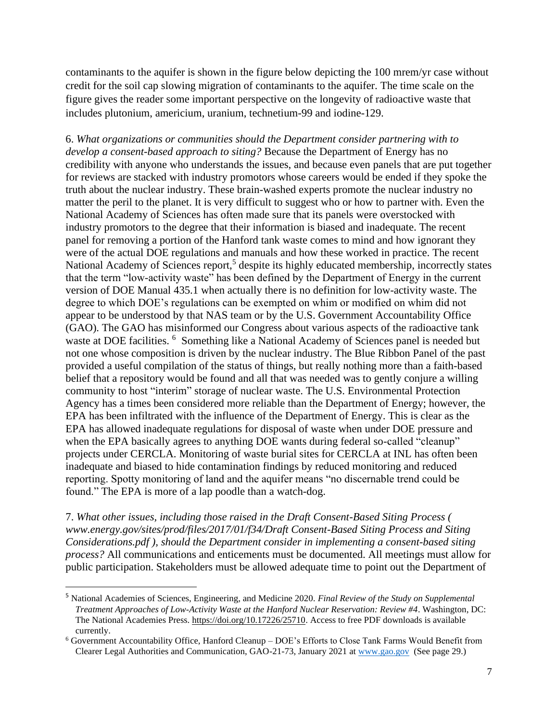contaminants to the aquifer is shown in the figure below depicting the 100 mrem/yr case without credit for the soil cap slowing migration of contaminants to the aquifer. The time scale on the figure gives the reader some important perspective on the longevity of radioactive waste that includes plutonium, americium, uranium, technetium-99 and iodine-129.

6. *What organizations or communities should the Department consider partnering with to develop a consent-based approach to siting?* Because the Department of Energy has no credibility with anyone who understands the issues, and because even panels that are put together for reviews are stacked with industry promotors whose careers would be ended if they spoke the truth about the nuclear industry. These brain-washed experts promote the nuclear industry no matter the peril to the planet. It is very difficult to suggest who or how to partner with. Even the National Academy of Sciences has often made sure that its panels were overstocked with industry promotors to the degree that their information is biased and inadequate. The recent panel for removing a portion of the Hanford tank waste comes to mind and how ignorant they were of the actual DOE regulations and manuals and how these worked in practice. The recent National Academy of Sciences report,<sup>5</sup> despite its highly educated membership, incorrectly states that the term "low-activity waste" has been defined by the Department of Energy in the current version of DOE Manual 435.1 when actually there is no definition for low-activity waste. The degree to which DOE's regulations can be exempted on whim or modified on whim did not appear to be understood by that NAS team or by the U.S. Government Accountability Office (GAO). The GAO has misinformed our Congress about various aspects of the radioactive tank waste at DOE facilities. <sup>6</sup> Something like a National Academy of Sciences panel is needed but not one whose composition is driven by the nuclear industry. The Blue Ribbon Panel of the past provided a useful compilation of the status of things, but really nothing more than a faith-based belief that a repository would be found and all that was needed was to gently conjure a willing community to host "interim" storage of nuclear waste. The U.S. Environmental Protection Agency has a times been considered more reliable than the Department of Energy; however, the EPA has been infiltrated with the influence of the Department of Energy. This is clear as the EPA has allowed inadequate regulations for disposal of waste when under DOE pressure and when the EPA basically agrees to anything DOE wants during federal so-called "cleanup" projects under CERCLA. Monitoring of waste burial sites for CERCLA at INL has often been inadequate and biased to hide contamination findings by reduced monitoring and reduced reporting. Spotty monitoring of land and the aquifer means "no discernable trend could be found." The EPA is more of a lap poodle than a watch-dog.

7. *What other issues, including those raised in the Draft Consent-Based Siting Process ( www.energy.gov/sites/prod/files/2017/01/f34/Draft Consent-Based Siting Process and Siting Considerations.pdf ), should the Department consider in implementing a consent-based siting process?* All communications and enticements must be documented. All meetings must allow for public participation. Stakeholders must be allowed adequate time to point out the Department of

<sup>5</sup> National Academies of Sciences, Engineering, and Medicine 2020. *Final Review of the Study on Supplemental Treatment Approaches of Low-Activity Waste at the Hanford Nuclear Reservation: Review #4*. Washington, DC: The National Academies Press. [https://doi.org/10.17226/25710.](https://doi.org/10.17226/25710) Access to free PDF downloads is available currently.

<sup>6</sup> Government Accountability Office, Hanford Cleanup – DOE's Efforts to Close Tank Farms Would Benefit from Clearer Legal Authorities and Communication, GAO-21-73, January 2021 at [www.gao.gov](http://www.gao.gov/) (See page 29.)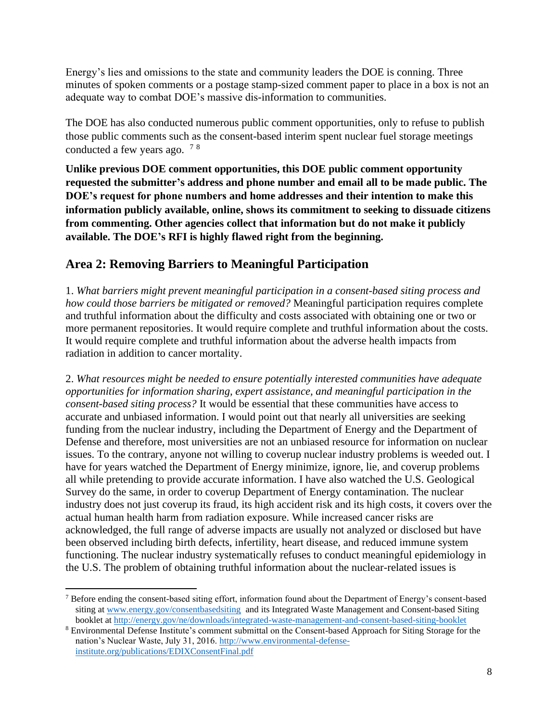Energy's lies and omissions to the state and community leaders the DOE is conning. Three minutes of spoken comments or a postage stamp-sized comment paper to place in a box is not an adequate way to combat DOE's massive dis-information to communities.

The DOE has also conducted numerous public comment opportunities, only to refuse to publish those public comments such as the consent-based interim spent nuclear fuel storage meetings conducted a few years ago. <sup>7</sup> <sup>8</sup>

**Unlike previous DOE comment opportunities, this DOE public comment opportunity requested the submitter's address and phone number and email all to be made public. The DOE's request for phone numbers and home addresses and their intention to make this information publicly available, online, shows its commitment to seeking to dissuade citizens from commenting. Other agencies collect that information but do not make it publicly available. The DOE's RFI is highly flawed right from the beginning.**

# **Area 2: Removing Barriers to Meaningful Participation**

1. *What barriers might prevent meaningful participation in a consent-based siting process and how could those barriers be mitigated or removed?* Meaningful participation requires complete and truthful information about the difficulty and costs associated with obtaining one or two or more permanent repositories. It would require complete and truthful information about the costs. It would require complete and truthful information about the adverse health impacts from radiation in addition to cancer mortality.

2. *What resources might be needed to ensure potentially interested communities have adequate opportunities for information sharing, expert assistance, and meaningful participation in the consent-based siting process?* It would be essential that these communities have access to accurate and unbiased information. I would point out that nearly all universities are seeking funding from the nuclear industry, including the Department of Energy and the Department of Defense and therefore, most universities are not an unbiased resource for information on nuclear issues. To the contrary, anyone not willing to coverup nuclear industry problems is weeded out. I have for years watched the Department of Energy minimize, ignore, lie, and coverup problems all while pretending to provide accurate information. I have also watched the U.S. Geological Survey do the same, in order to coverup Department of Energy contamination. The nuclear industry does not just coverup its fraud, its high accident risk and its high costs, it covers over the actual human health harm from radiation exposure. While increased cancer risks are acknowledged, the full range of adverse impacts are usually not analyzed or disclosed but have been observed including birth defects, infertility, heart disease, and reduced immune system functioning. The nuclear industry systematically refuses to conduct meaningful epidemiology in the U.S. The problem of obtaining truthful information about the nuclear-related issues is

<sup>&</sup>lt;sup>7</sup> Before ending the consent-based siting effort, information found about the Department of Energy's consent-based siting at [www.energy.gov/consentbasedsiting](http://www.energy.gov/consentbasedsiting) and its Integrated Waste Management and Consent-based Siting booklet at<http://energy.gov/ne/downloads/integrated-waste-management-and-consent-based-siting-booklet>

<sup>8</sup> Environmental Defense Institute's comment submittal on the Consent-based Approach for Siting Storage for the nation's Nuclear Waste, July 31, 2016. [http://www.environmental-defense](http://www.environmental-defense-institute.org/publications/EDIXConsentFinal.pdf)[institute.org/publications/EDIXConsentFinal.pdf](http://www.environmental-defense-institute.org/publications/EDIXConsentFinal.pdf)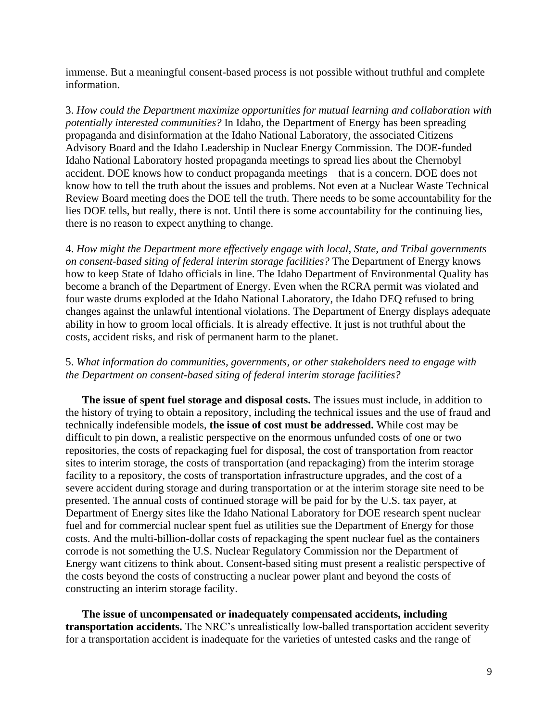immense. But a meaningful consent-based process is not possible without truthful and complete information.

3. *How could the Department maximize opportunities for mutual learning and collaboration with potentially interested communities?* In Idaho, the Department of Energy has been spreading propaganda and disinformation at the Idaho National Laboratory, the associated Citizens Advisory Board and the Idaho Leadership in Nuclear Energy Commission. The DOE-funded Idaho National Laboratory hosted propaganda meetings to spread lies about the Chernobyl accident. DOE knows how to conduct propaganda meetings – that is a concern. DOE does not know how to tell the truth about the issues and problems. Not even at a Nuclear Waste Technical Review Board meeting does the DOE tell the truth. There needs to be some accountability for the lies DOE tells, but really, there is not. Until there is some accountability for the continuing lies, there is no reason to expect anything to change.

4. *How might the Department more effectively engage with local, State, and Tribal governments on consent-based siting of federal interim storage facilities?* The Department of Energy knows how to keep State of Idaho officials in line. The Idaho Department of Environmental Quality has become a branch of the Department of Energy. Even when the RCRA permit was violated and four waste drums exploded at the Idaho National Laboratory, the Idaho DEQ refused to bring changes against the unlawful intentional violations. The Department of Energy displays adequate ability in how to groom local officials. It is already effective. It just is not truthful about the costs, accident risks, and risk of permanent harm to the planet.

#### 5. *What information do communities, governments, or other stakeholders need to engage with the Department on consent-based siting of federal interim storage facilities?*

**The issue of spent fuel storage and disposal costs.** The issues must include, in addition to the history of trying to obtain a repository, including the technical issues and the use of fraud and technically indefensible models, **the issue of cost must be addressed.** While cost may be difficult to pin down, a realistic perspective on the enormous unfunded costs of one or two repositories, the costs of repackaging fuel for disposal, the cost of transportation from reactor sites to interim storage, the costs of transportation (and repackaging) from the interim storage facility to a repository, the costs of transportation infrastructure upgrades, and the cost of a severe accident during storage and during transportation or at the interim storage site need to be presented. The annual costs of continued storage will be paid for by the U.S. tax payer, at Department of Energy sites like the Idaho National Laboratory for DOE research spent nuclear fuel and for commercial nuclear spent fuel as utilities sue the Department of Energy for those costs. And the multi-billion-dollar costs of repackaging the spent nuclear fuel as the containers corrode is not something the U.S. Nuclear Regulatory Commission nor the Department of Energy want citizens to think about. Consent-based siting must present a realistic perspective of the costs beyond the costs of constructing a nuclear power plant and beyond the costs of constructing an interim storage facility.

**The issue of uncompensated or inadequately compensated accidents, including transportation accidents.** The NRC's unrealistically low-balled transportation accident severity for a transportation accident is inadequate for the varieties of untested casks and the range of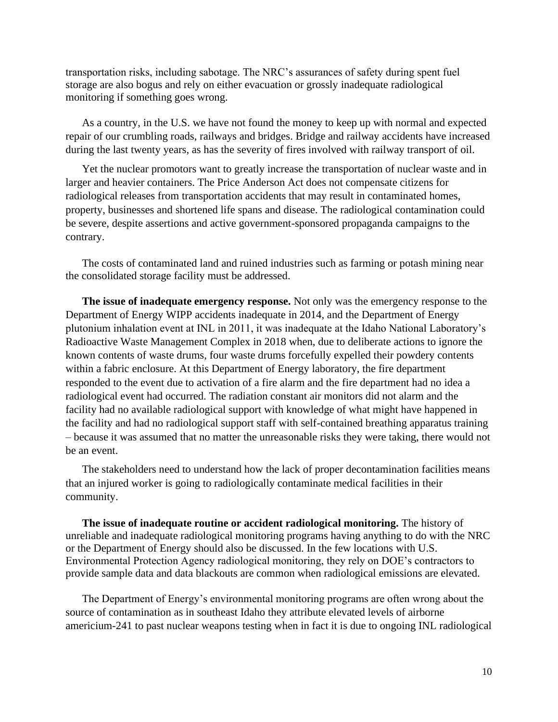transportation risks, including sabotage. The NRC's assurances of safety during spent fuel storage are also bogus and rely on either evacuation or grossly inadequate radiological monitoring if something goes wrong.

As a country, in the U.S. we have not found the money to keep up with normal and expected repair of our crumbling roads, railways and bridges. Bridge and railway accidents have increased during the last twenty years, as has the severity of fires involved with railway transport of oil.

Yet the nuclear promotors want to greatly increase the transportation of nuclear waste and in larger and heavier containers. The Price Anderson Act does not compensate citizens for radiological releases from transportation accidents that may result in contaminated homes, property, businesses and shortened life spans and disease. The radiological contamination could be severe, despite assertions and active government-sponsored propaganda campaigns to the contrary.

The costs of contaminated land and ruined industries such as farming or potash mining near the consolidated storage facility must be addressed.

**The issue of inadequate emergency response.** Not only was the emergency response to the Department of Energy WIPP accidents inadequate in 2014, and the Department of Energy plutonium inhalation event at INL in 2011, it was inadequate at the Idaho National Laboratory's Radioactive Waste Management Complex in 2018 when, due to deliberate actions to ignore the known contents of waste drums, four waste drums forcefully expelled their powdery contents within a fabric enclosure. At this Department of Energy laboratory, the fire department responded to the event due to activation of a fire alarm and the fire department had no idea a radiological event had occurred. The radiation constant air monitors did not alarm and the facility had no available radiological support with knowledge of what might have happened in the facility and had no radiological support staff with self-contained breathing apparatus training – because it was assumed that no matter the unreasonable risks they were taking, there would not be an event.

The stakeholders need to understand how the lack of proper decontamination facilities means that an injured worker is going to radiologically contaminate medical facilities in their community.

**The issue of inadequate routine or accident radiological monitoring.** The history of unreliable and inadequate radiological monitoring programs having anything to do with the NRC or the Department of Energy should also be discussed. In the few locations with U.S. Environmental Protection Agency radiological monitoring, they rely on DOE's contractors to provide sample data and data blackouts are common when radiological emissions are elevated.

The Department of Energy's environmental monitoring programs are often wrong about the source of contamination as in southeast Idaho they attribute elevated levels of airborne americium-241 to past nuclear weapons testing when in fact it is due to ongoing INL radiological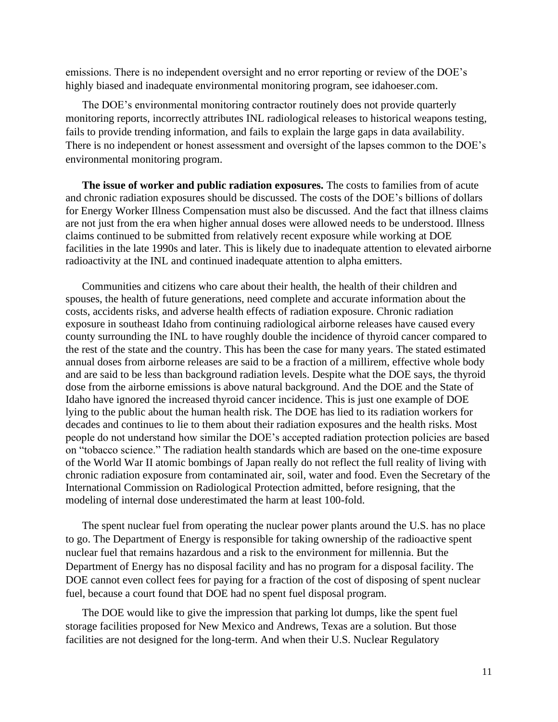emissions. There is no independent oversight and no error reporting or review of the DOE's highly biased and inadequate environmental monitoring program, see idahoeser.com.

The DOE's environmental monitoring contractor routinely does not provide quarterly monitoring reports, incorrectly attributes INL radiological releases to historical weapons testing, fails to provide trending information, and fails to explain the large gaps in data availability. There is no independent or honest assessment and oversight of the lapses common to the DOE's environmental monitoring program.

**The issue of worker and public radiation exposures.** The costs to families from of acute and chronic radiation exposures should be discussed. The costs of the DOE's billions of dollars for Energy Worker Illness Compensation must also be discussed. And the fact that illness claims are not just from the era when higher annual doses were allowed needs to be understood. Illness claims continued to be submitted from relatively recent exposure while working at DOE facilities in the late 1990s and later. This is likely due to inadequate attention to elevated airborne radioactivity at the INL and continued inadequate attention to alpha emitters.

Communities and citizens who care about their health, the health of their children and spouses, the health of future generations, need complete and accurate information about the costs, accidents risks, and adverse health effects of radiation exposure. Chronic radiation exposure in southeast Idaho from continuing radiological airborne releases have caused every county surrounding the INL to have roughly double the incidence of thyroid cancer compared to the rest of the state and the country. This has been the case for many years. The stated estimated annual doses from airborne releases are said to be a fraction of a millirem, effective whole body and are said to be less than background radiation levels. Despite what the DOE says, the thyroid dose from the airborne emissions is above natural background. And the DOE and the State of Idaho have ignored the increased thyroid cancer incidence. This is just one example of DOE lying to the public about the human health risk. The DOE has lied to its radiation workers for decades and continues to lie to them about their radiation exposures and the health risks. Most people do not understand how similar the DOE's accepted radiation protection policies are based on "tobacco science." The radiation health standards which are based on the one-time exposure of the World War II atomic bombings of Japan really do not reflect the full reality of living with chronic radiation exposure from contaminated air, soil, water and food. Even the Secretary of the International Commission on Radiological Protection admitted, before resigning, that the modeling of internal dose underestimated the harm at least 100-fold.

The spent nuclear fuel from operating the nuclear power plants around the U.S. has no place to go. The Department of Energy is responsible for taking ownership of the radioactive spent nuclear fuel that remains hazardous and a risk to the environment for millennia. But the Department of Energy has no disposal facility and has no program for a disposal facility. The DOE cannot even collect fees for paying for a fraction of the cost of disposing of spent nuclear fuel, because a court found that DOE had no spent fuel disposal program.

The DOE would like to give the impression that parking lot dumps, like the spent fuel storage facilities proposed for New Mexico and Andrews, Texas are a solution. But those facilities are not designed for the long-term. And when their U.S. Nuclear Regulatory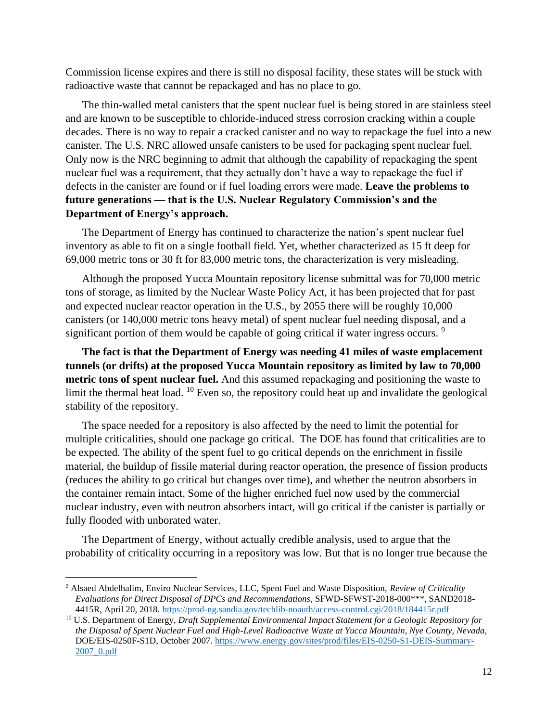Commission license expires and there is still no disposal facility, these states will be stuck with radioactive waste that cannot be repackaged and has no place to go.

The thin-walled metal canisters that the spent nuclear fuel is being stored in are stainless steel and are known to be susceptible to chloride-induced stress corrosion cracking within a couple decades. There is no way to repair a cracked canister and no way to repackage the fuel into a new canister. The U.S. NRC allowed unsafe canisters to be used for packaging spent nuclear fuel. Only now is the NRC beginning to admit that although the capability of repackaging the spent nuclear fuel was a requirement, that they actually don't have a way to repackage the fuel if defects in the canister are found or if fuel loading errors were made. **Leave the problems to future generations — that is the U.S. Nuclear Regulatory Commission's and the Department of Energy's approach.**

The Department of Energy has continued to characterize the nation's spent nuclear fuel inventory as able to fit on a single football field. Yet, whether characterized as 15 ft deep for 69,000 metric tons or 30 ft for 83,000 metric tons, the characterization is very misleading.

Although the proposed Yucca Mountain repository license submittal was for 70,000 metric tons of storage, as limited by the Nuclear Waste Policy Act, it has been projected that for past and expected nuclear reactor operation in the U.S., by 2055 there will be roughly 10,000 canisters (or 140,000 metric tons heavy metal) of spent nuclear fuel needing disposal, and a significant portion of them would be capable of going critical if water ingress occurs.<sup>9</sup>

**The fact is that the Department of Energy was needing 41 miles of waste emplacement tunnels (or drifts) at the proposed Yucca Mountain repository as limited by law to 70,000 metric tons of spent nuclear fuel.** And this assumed repackaging and positioning the waste to limit the thermal heat load. <sup>10</sup> Even so, the repository could heat up and invalidate the geological stability of the repository.

The space needed for a repository is also affected by the need to limit the potential for multiple criticalities, should one package go critical. The DOE has found that criticalities are to be expected. The ability of the spent fuel to go critical depends on the enrichment in fissile material, the buildup of fissile material during reactor operation, the presence of fission products (reduces the ability to go critical but changes over time), and whether the neutron absorbers in the container remain intact. Some of the higher enriched fuel now used by the commercial nuclear industry, even with neutron absorbers intact, will go critical if the canister is partially or fully flooded with unborated water.

The Department of Energy, without actually credible analysis, used to argue that the probability of criticality occurring in a repository was low. But that is no longer true because the

<sup>9</sup> Alsaed Abdelhalim, Enviro Nuclear Services, LLC, Spent Fuel and Waste Disposition, *Review of Criticality Evaluations for Direct Disposal of DPCs and Recommendations*, SFWD-SFWST-2018-000\*\*\*, SAND2018- 4415R, April 20, 2018.<https://prod-ng.sandia.gov/techlib-noauth/access-control.cgi/2018/184415r.pdf>

<sup>10</sup> U.S. Department of Energy, *Draft Supplemental Environmental Impact Statement for a Geologic Repository for the Disposal of Spent Nuclear Fuel and High-Level Radioactive Waste at Yucca Mountain, Nye County, Nevada*, DOE/EIS-0250F-S1D, October 2007. [https://www.energy.gov/sites/prod/files/EIS-0250-S1-DEIS-Summary-](https://www.energy.gov/sites/prod/files/EIS-0250-S1-DEIS-Summary-2007_0.pdf)[2007\\_0.pdf](https://www.energy.gov/sites/prod/files/EIS-0250-S1-DEIS-Summary-2007_0.pdf)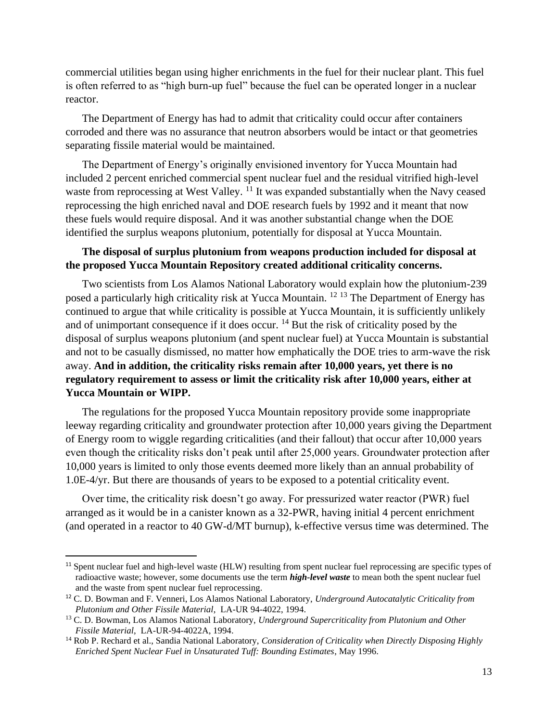commercial utilities began using higher enrichments in the fuel for their nuclear plant. This fuel is often referred to as "high burn-up fuel" because the fuel can be operated longer in a nuclear reactor.

The Department of Energy has had to admit that criticality could occur after containers corroded and there was no assurance that neutron absorbers would be intact or that geometries separating fissile material would be maintained.

The Department of Energy's originally envisioned inventory for Yucca Mountain had included 2 percent enriched commercial spent nuclear fuel and the residual vitrified high-level waste from reprocessing at West Valley. <sup>11</sup> It was expanded substantially when the Navy ceased reprocessing the high enriched naval and DOE research fuels by 1992 and it meant that now these fuels would require disposal. And it was another substantial change when the DOE identified the surplus weapons plutonium, potentially for disposal at Yucca Mountain.

### **The disposal of surplus plutonium from weapons production included for disposal at the proposed Yucca Mountain Repository created additional criticality concerns.**

Two scientists from Los Alamos National Laboratory would explain how the plutonium-239 posed a particularly high criticality risk at Yucca Mountain. <sup>12 13</sup> The Department of Energy has continued to argue that while criticality is possible at Yucca Mountain, it is sufficiently unlikely and of unimportant consequence if it does occur.  $14$  But the risk of criticality posed by the disposal of surplus weapons plutonium (and spent nuclear fuel) at Yucca Mountain is substantial and not to be casually dismissed, no matter how emphatically the DOE tries to arm-wave the risk away. **And in addition, the criticality risks remain after 10,000 years, yet there is no regulatory requirement to assess or limit the criticality risk after 10,000 years, either at Yucca Mountain or WIPP.**

The regulations for the proposed Yucca Mountain repository provide some inappropriate leeway regarding criticality and groundwater protection after 10,000 years giving the Department of Energy room to wiggle regarding criticalities (and their fallout) that occur after 10,000 years even though the criticality risks don't peak until after 25,000 years. Groundwater protection after 10,000 years is limited to only those events deemed more likely than an annual probability of 1.0E-4/yr. But there are thousands of years to be exposed to a potential criticality event.

Over time, the criticality risk doesn't go away. For pressurized water reactor (PWR) fuel arranged as it would be in a canister known as a 32-PWR, having initial 4 percent enrichment (and operated in a reactor to 40 GW-d/MT burnup), k-effective versus time was determined. The

<sup>&</sup>lt;sup>11</sup> Spent nuclear fuel and high-level waste (HLW) resulting from spent nuclear fuel reprocessing are specific types of radioactive waste; however, some documents use the term *high-level waste* to mean both the spent nuclear fuel and the waste from spent nuclear fuel reprocessing.

<sup>12</sup> C. D. Bowman and F. Venneri, Los Alamos National Laboratory, *Underground Autocatalytic Criticality from Plutonium and Other Fissile Material*, LA-UR 94-4022, 1994.

<sup>13</sup> C. D. Bowman, Los Alamos National Laboratory, *Underground Supercriticality from Plutonium and Other Fissile Material*, LA-UR-94-4022A, 1994.

<sup>14</sup> Rob P. Rechard et al., Sandia National Laboratory, *Consideration of Criticality when Directly Disposing Highly Enriched Spent Nuclear Fuel in Unsaturated Tuff: Bounding Estimates*, May 1996.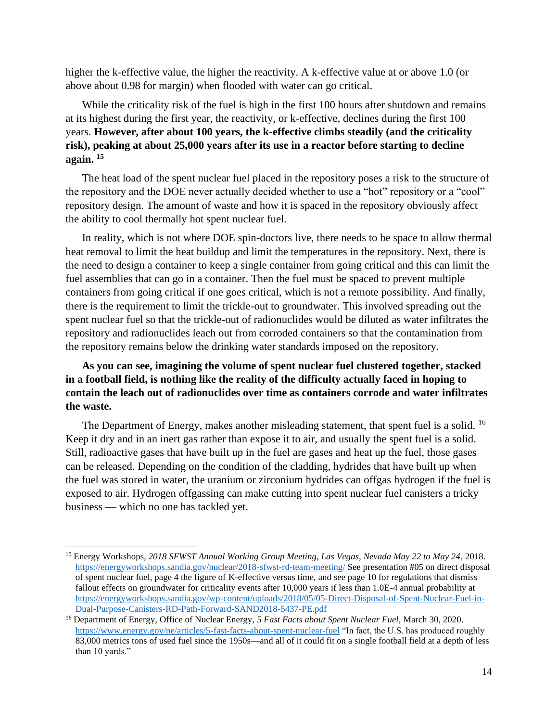higher the k-effective value, the higher the reactivity. A k-effective value at or above 1.0 (or above about 0.98 for margin) when flooded with water can go critical.

While the criticality risk of the fuel is high in the first 100 hours after shutdown and remains at its highest during the first year, the reactivity, or k-effective, declines during the first 100 years. **However, after about 100 years, the k-effective climbs steadily (and the criticality risk), peaking at about 25,000 years after its use in a reactor before starting to decline again. <sup>15</sup>**

The heat load of the spent nuclear fuel placed in the repository poses a risk to the structure of the repository and the DOE never actually decided whether to use a "hot" repository or a "cool" repository design. The amount of waste and how it is spaced in the repository obviously affect the ability to cool thermally hot spent nuclear fuel.

In reality, which is not where DOE spin-doctors live, there needs to be space to allow thermal heat removal to limit the heat buildup and limit the temperatures in the repository. Next, there is the need to design a container to keep a single container from going critical and this can limit the fuel assemblies that can go in a container. Then the fuel must be spaced to prevent multiple containers from going critical if one goes critical, which is not a remote possibility. And finally, there is the requirement to limit the trickle-out to groundwater. This involved spreading out the spent nuclear fuel so that the trickle-out of radionuclides would be diluted as water infiltrates the repository and radionuclides leach out from corroded containers so that the contamination from the repository remains below the drinking water standards imposed on the repository.

**As you can see, imagining the volume of spent nuclear fuel clustered together, stacked in a football field, is nothing like the reality of the difficulty actually faced in hoping to contain the leach out of radionuclides over time as containers corrode and water infiltrates the waste.** 

The Department of Energy, makes another misleading statement, that spent fuel is a solid. <sup>16</sup> Keep it dry and in an inert gas rather than expose it to air, and usually the spent fuel is a solid. Still, radioactive gases that have built up in the fuel are gases and heat up the fuel, those gases can be released. Depending on the condition of the cladding, hydrides that have built up when the fuel was stored in water, the uranium or zirconium hydrides can offgas hydrogen if the fuel is exposed to air. Hydrogen offgassing can make cutting into spent nuclear fuel canisters a tricky business — which no one has tackled yet.

<sup>15</sup> Energy Workshops, *2018 SFWST Annual Working Group Meeting, Las Vegas, Nevada May 22 to May 24*, 2018. <https://energyworkshops.sandia.gov/nuclear/2018-sfwst-rd-team-meeting/> See presentation #05 on direct disposal of spent nuclear fuel, page 4 the figure of K-effective versus time, and see page 10 for regulations that dismiss fallout effects on groundwater for criticality events after 10,000 years if less than 1.0E-4 annual probability at [https://energyworkshops.sandia.gov/wp-content/uploads/2018/05/05-Direct-Disposal-of-Spent-Nuclear-Fuel-in-](https://energyworkshops.sandia.gov/wp-content/uploads/2018/05/05-Direct-Disposal-of-Spent-Nuclear-Fuel-in-Dual-Purpose-Canisters-RD-Path-Forward-SAND2018-5437-PE.pdf)[Dual-Purpose-Canisters-RD-Path-Forward-SAND2018-5437-PE.pdf](https://energyworkshops.sandia.gov/wp-content/uploads/2018/05/05-Direct-Disposal-of-Spent-Nuclear-Fuel-in-Dual-Purpose-Canisters-RD-Path-Forward-SAND2018-5437-PE.pdf)

<sup>16</sup> Department of Energy, Office of Nuclear Energy, *5 Fast Facts about Spent Nuclear Fuel*, March 30, 2020. <https://www.energy.gov/ne/articles/5-fast-facts-about-spent-nuclear-fuel> "In fact, the U.S. has produced roughly 83,000 metrics tons of used fuel since the 1950s—and all of it could fit on a single football field at a depth of less than 10 yards."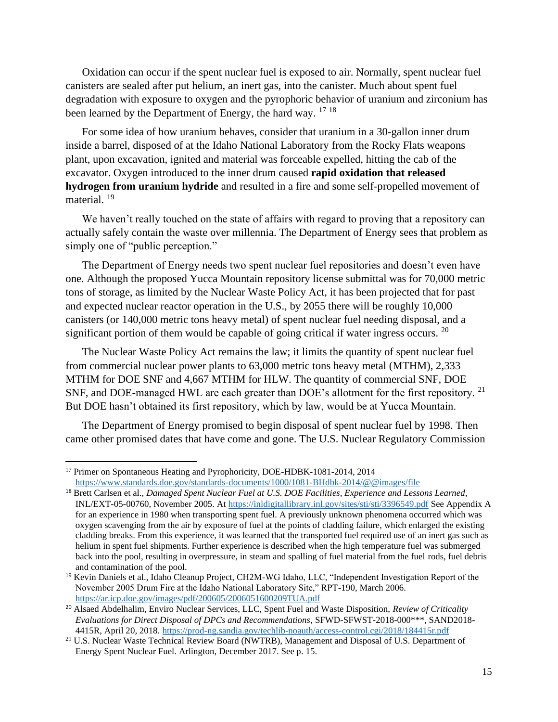Oxidation can occur if the spent nuclear fuel is exposed to air. Normally, spent nuclear fuel canisters are sealed after put helium, an inert gas, into the canister. Much about spent fuel degradation with exposure to oxygen and the pyrophoric behavior of uranium and zirconium has been learned by the Department of Energy, the hard way. <sup>17 18</sup>

For some idea of how uranium behaves, consider that uranium in a 30-gallon inner drum inside a barrel, disposed of at the Idaho National Laboratory from the Rocky Flats weapons plant, upon excavation, ignited and material was forceable expelled, hitting the cab of the excavator. Oxygen introduced to the inner drum caused **rapid oxidation that released hydrogen from uranium hydride** and resulted in a fire and some self-propelled movement of material.<sup>19</sup>

We haven't really touched on the state of affairs with regard to proving that a repository can actually safely contain the waste over millennia. The Department of Energy sees that problem as simply one of "public perception."

The Department of Energy needs two spent nuclear fuel repositories and doesn't even have one. Although the proposed Yucca Mountain repository license submittal was for 70,000 metric tons of storage, as limited by the Nuclear Waste Policy Act, it has been projected that for past and expected nuclear reactor operation in the U.S., by 2055 there will be roughly 10,000 canisters (or 140,000 metric tons heavy metal) of spent nuclear fuel needing disposal, and a significant portion of them would be capable of going critical if water ingress occurs.  $20$ 

The Nuclear Waste Policy Act remains the law; it limits the quantity of spent nuclear fuel from commercial nuclear power plants to 63,000 metric tons heavy metal (MTHM), 2,333 MTHM for DOE SNF and 4,667 MTHM for HLW. The quantity of commercial SNF, DOE SNF, and DOE-managed HWL are each greater than DOE's allotment for the first repository. <sup>21</sup> But DOE hasn't obtained its first repository, which by law, would be at Yucca Mountain.

The Department of Energy promised to begin disposal of spent nuclear fuel by 1998. Then came other promised dates that have come and gone. The U.S. Nuclear Regulatory Commission

<sup>&</sup>lt;sup>17</sup> Primer on Spontaneous Heating and Pyrophoricity, DOE-HDBK-1081-2014, 2014 <https://www.standards.doe.gov/standards-documents/1000/1081-BHdbk-2014/@@images/file>

<sup>18</sup> Brett Carlsen et al., *Damaged Spent Nuclear Fuel at U.S. DOE Facilities, Experience and Lessons Learned*, INL/EXT-05-00760, November 2005. A[t https://inldigitallibrary.inl.gov/sites/sti/sti/3396549.pdf](https://inldigitallibrary.inl.gov/sites/sti/sti/3396549.pdf) See Appendix A for an experience in 1980 when transporting spent fuel. A previously unknown phenomena occurred which was oxygen scavenging from the air by exposure of fuel at the points of cladding failure, which enlarged the existing cladding breaks. From this experience, it was learned that the transported fuel required use of an inert gas such as helium in spent fuel shipments. Further experience is described when the high temperature fuel was submerged back into the pool, resulting in overpressure, in steam and spalling of fuel material from the fuel rods, fuel debris and contamination of the pool.

<sup>&</sup>lt;sup>19</sup> Kevin Daniels et al., Idaho Cleanup Project, CH2M-WG Idaho, LLC, "Independent Investigation Report of the November 2005 Drum Fire at the Idaho National Laboratory Site," RPT-190, March 2006. <https://ar.icp.doe.gov/images/pdf/200605/2006051600209TUA.pdf>

<sup>20</sup> Alsaed Abdelhalim, Enviro Nuclear Services, LLC, Spent Fuel and Waste Disposition, *Review of Criticality Evaluations for Direct Disposal of DPCs and Recommendations*, SFWD-SFWST-2018-000\*\*\*, SAND2018- 4415R, April 20, 2018.<https://prod-ng.sandia.gov/techlib-noauth/access-control.cgi/2018/184415r.pdf>

<sup>&</sup>lt;sup>21</sup> U.S. Nuclear Waste Technical Review Board (NWTRB), Management and Disposal of U.S. Department of Energy Spent Nuclear Fuel. Arlington, December 2017. See p. 15.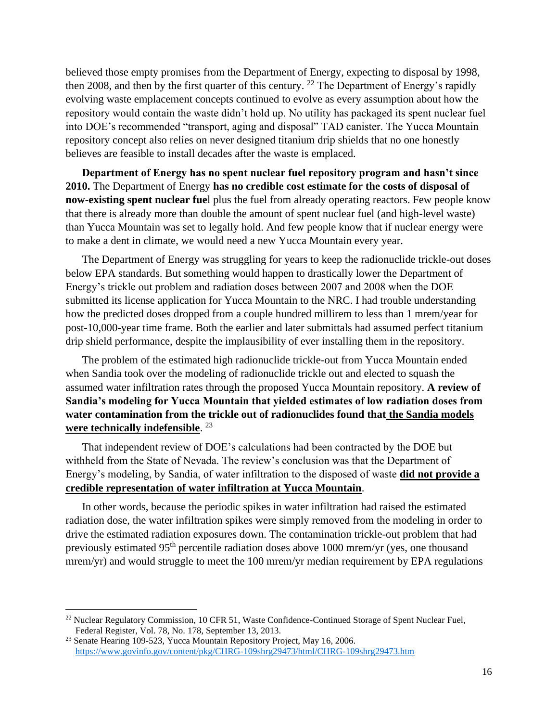believed those empty promises from the Department of Energy, expecting to disposal by 1998, then 2008, and then by the first quarter of this century. <sup>22</sup> The Department of Energy's rapidly evolving waste emplacement concepts continued to evolve as every assumption about how the repository would contain the waste didn't hold up. No utility has packaged its spent nuclear fuel into DOE's recommended "transport, aging and disposal" TAD canister. The Yucca Mountain repository concept also relies on never designed titanium drip shields that no one honestly believes are feasible to install decades after the waste is emplaced.

**Department of Energy has no spent nuclear fuel repository program and hasn't since 2010.** The Department of Energy **has no credible cost estimate for the costs of disposal of now-existing spent nuclear fue**l plus the fuel from already operating reactors. Few people know that there is already more than double the amount of spent nuclear fuel (and high-level waste) than Yucca Mountain was set to legally hold. And few people know that if nuclear energy were to make a dent in climate, we would need a new Yucca Mountain every year.

The Department of Energy was struggling for years to keep the radionuclide trickle-out doses below EPA standards. But something would happen to drastically lower the Department of Energy's trickle out problem and radiation doses between 2007 and 2008 when the DOE submitted its license application for Yucca Mountain to the NRC. I had trouble understanding how the predicted doses dropped from a couple hundred millirem to less than 1 mrem/year for post-10,000-year time frame. Both the earlier and later submittals had assumed perfect titanium drip shield performance, despite the implausibility of ever installing them in the repository.

The problem of the estimated high radionuclide trickle-out from Yucca Mountain ended when Sandia took over the modeling of radionuclide trickle out and elected to squash the assumed water infiltration rates through the proposed Yucca Mountain repository. **A review of Sandia's modeling for Yucca Mountain that yielded estimates of low radiation doses from water contamination from the trickle out of radionuclides found that the Sandia models were technically indefensible**. 23

That independent review of DOE's calculations had been contracted by the DOE but withheld from the State of Nevada. The review's conclusion was that the Department of Energy's modeling, by Sandia, of water infiltration to the disposed of waste **did not provide a credible representation of water infiltration at Yucca Mountain**.

In other words, because the periodic spikes in water infiltration had raised the estimated radiation dose, the water infiltration spikes were simply removed from the modeling in order to drive the estimated radiation exposures down. The contamination trickle-out problem that had previously estimated 95th percentile radiation doses above 1000 mrem/yr (yes, one thousand mrem/yr) and would struggle to meet the 100 mrem/yr median requirement by EPA regulations

<sup>&</sup>lt;sup>22</sup> Nuclear Regulatory Commission, 10 CFR 51, Waste Confidence-Continued Storage of Spent Nuclear Fuel, Federal Register, Vol. 78, No. 178, September 13, 2013.

<sup>&</sup>lt;sup>23</sup> Senate Hearing 109-523, Yucca Mountain Repository Project, May 16, 2006. <https://www.govinfo.gov/content/pkg/CHRG-109shrg29473/html/CHRG-109shrg29473.htm>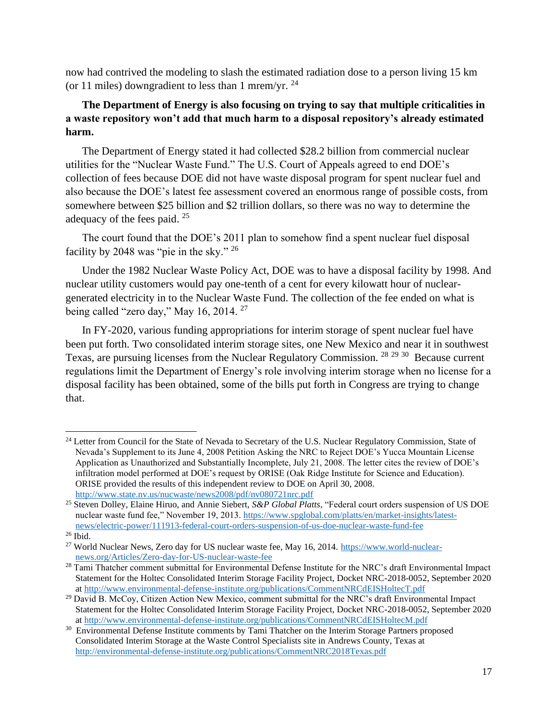now had contrived the modeling to slash the estimated radiation dose to a person living 15 km (or 11 miles) downgradient to less than 1 mrem/yr.  $^{24}$ 

# **The Department of Energy is also focusing on trying to say that multiple criticalities in a waste repository won't add that much harm to a disposal repository's already estimated harm.**

The Department of Energy stated it had collected \$28.2 billion from commercial nuclear utilities for the "Nuclear Waste Fund." The U.S. Court of Appeals agreed to end DOE's collection of fees because DOE did not have waste disposal program for spent nuclear fuel and also because the DOE's latest fee assessment covered an enormous range of possible costs, from somewhere between \$25 billion and \$2 trillion dollars, so there was no way to determine the adequacy of the fees paid. <sup>25</sup>

The court found that the DOE's 2011 plan to somehow find a spent nuclear fuel disposal facility by 2048 was "pie in the sky." <sup>26</sup>

Under the 1982 Nuclear Waste Policy Act, DOE was to have a disposal facility by 1998. And nuclear utility customers would pay one-tenth of a cent for every kilowatt hour of nucleargenerated electricity in to the Nuclear Waste Fund. The collection of the fee ended on what is being called "zero day," May 16, 2014.<sup>27</sup>

In FY-2020, various funding appropriations for interim storage of spent nuclear fuel have been put forth. Two consolidated interim storage sites, one New Mexico and near it in southwest Texas, are pursuing licenses from the Nuclear Regulatory Commission. <sup>28 29 30</sup> Because current regulations limit the Department of Energy's role involving interim storage when no license for a disposal facility has been obtained, some of the bills put forth in Congress are trying to change that.

<sup>&</sup>lt;sup>24</sup> Letter from Council for the State of Nevada to Secretary of the U.S. Nuclear Regulatory Commission, State of Nevada's Supplement to its June 4, 2008 Petition Asking the NRC to Reject DOE's Yucca Mountain License Application as Unauthorized and Substantially Incomplete, July 21, 2008. The letter cites the review of DOE's infiltration model performed at DOE's request by ORISE (Oak Ridge Institute for Science and Education). ORISE provided the results of this independent review to DOE on April 30, 2008. <http://www.state.nv.us/nucwaste/news2008/pdf/nv080721nrc.pdf>

<sup>25</sup> Steven Dolley, Elaine Hiruo, and Annie Siebert, *S&P Global Platts*, "Federal court orders suspension of US DOE nuclear waste fund fee," November 19, 2013. [https://www.spglobal.com/platts/en/market-insights/latest](https://www.spglobal.com/platts/en/market-insights/latest-news/electric-power/111913-federal-court-orders-suspension-of-us-doe-nuclear-waste-fund-fee)[news/electric-power/111913-federal-court-orders-suspension-of-us-doe-nuclear-waste-fund-fee](https://www.spglobal.com/platts/en/market-insights/latest-news/electric-power/111913-federal-court-orders-suspension-of-us-doe-nuclear-waste-fund-fee)

<sup>26</sup> Ibid.

<sup>&</sup>lt;sup>27</sup> World Nuclear News, Zero day for US nuclear waste fee, May 16, 2014. [https://www.world-nuclear](https://www.world-nuclear-news.org/Articles/Zero-day-for-US-nuclear-waste-fee)[news.org/Articles/Zero-day-for-US-nuclear-waste-fee](https://www.world-nuclear-news.org/Articles/Zero-day-for-US-nuclear-waste-fee)

<sup>&</sup>lt;sup>28</sup> Tami Thatcher comment submittal for Environmental Defense Institute for the NRC's draft Environmental Impact Statement for the Holtec Consolidated Interim Storage Facility Project, Docket NRC-2018-0052, September 2020 a[t http://www.environmental-defense-institute.org/publications/CommentNRCdEISHoltecT.pdf](http://www.environmental-defense-institute.org/publications/CommentNRCdEISHoltecT.pdf) 

<sup>&</sup>lt;sup>29</sup> David B. McCoy, Citizen Action New Mexico, comment submittal for the NRC's draft Environmental Impact Statement for the Holtec Consolidated Interim Storage Facility Project, Docket NRC-2018-0052, September 2020 a[t http://www.environmental-defense-institute.org/publications/CommentNRCdEISHoltecM.pdf](http://www.environmental-defense-institute.org/publications/CommentNRCdEISHoltecM.pdf)

<sup>&</sup>lt;sup>30</sup> Environmental Defense Institute comments by Tami Thatcher on the Interim Storage Partners proposed Consolidated Interim Storage at the Waste Control Specialists site in Andrews County, Texas at <http://environmental-defense-institute.org/publications/CommentNRC2018Texas.pdf>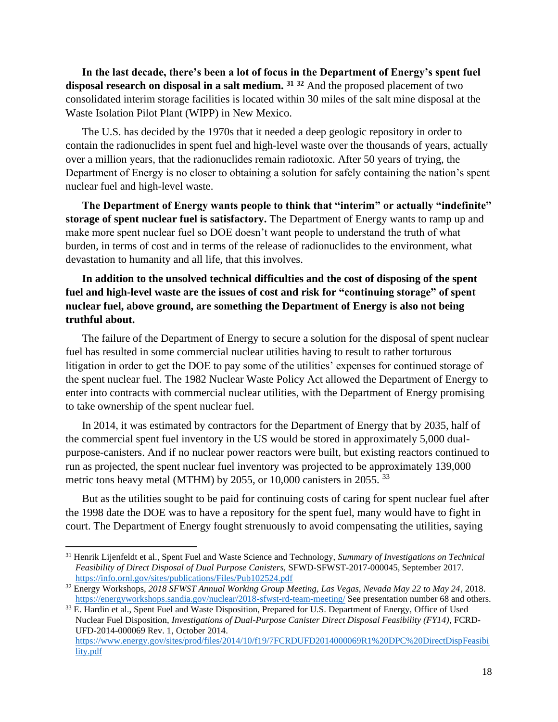**In the last decade, there's been a lot of focus in the Department of Energy's spent fuel disposal research on disposal in a salt medium. <sup>31</sup> <sup>32</sup>** And the proposed placement of two consolidated interim storage facilities is located within 30 miles of the salt mine disposal at the Waste Isolation Pilot Plant (WIPP) in New Mexico.

The U.S. has decided by the 1970s that it needed a deep geologic repository in order to contain the radionuclides in spent fuel and high-level waste over the thousands of years, actually over a million years, that the radionuclides remain radiotoxic. After 50 years of trying, the Department of Energy is no closer to obtaining a solution for safely containing the nation's spent nuclear fuel and high-level waste.

**The Department of Energy wants people to think that "interim" or actually "indefinite" storage of spent nuclear fuel is satisfactory.** The Department of Energy wants to ramp up and make more spent nuclear fuel so DOE doesn't want people to understand the truth of what burden, in terms of cost and in terms of the release of radionuclides to the environment, what devastation to humanity and all life, that this involves.

# **In addition to the unsolved technical difficulties and the cost of disposing of the spent fuel and high-level waste are the issues of cost and risk for "continuing storage" of spent nuclear fuel, above ground, are something the Department of Energy is also not being truthful about.**

The failure of the Department of Energy to secure a solution for the disposal of spent nuclear fuel has resulted in some commercial nuclear utilities having to result to rather torturous litigation in order to get the DOE to pay some of the utilities' expenses for continued storage of the spent nuclear fuel. The 1982 Nuclear Waste Policy Act allowed the Department of Energy to enter into contracts with commercial nuclear utilities, with the Department of Energy promising to take ownership of the spent nuclear fuel.

In 2014, it was estimated by contractors for the Department of Energy that by 2035, half of the commercial spent fuel inventory in the US would be stored in approximately 5,000 dualpurpose-canisters. And if no nuclear power reactors were built, but existing reactors continued to run as projected, the spent nuclear fuel inventory was projected to be approximately 139,000 metric tons heavy metal (MTHM) by 2055, or 10,000 canisters in 2055.<sup>33</sup>

But as the utilities sought to be paid for continuing costs of caring for spent nuclear fuel after the 1998 date the DOE was to have a repository for the spent fuel, many would have to fight in court. The Department of Energy fought strenuously to avoid compensating the utilities, saying

<sup>31</sup> Henrik Lijenfeldt et al., Spent Fuel and Waste Science and Technology, *Summary of Investigations on Technical Feasibility of Direct Disposal of Dual Purpose Canisters,* SFWD-SFWST-2017-000045, September 2017. <https://info.ornl.gov/sites/publications/Files/Pub102524.pdf>

<sup>32</sup> Energy Workshops, *2018 SFWST Annual Working Group Meeting, Las Vegas, Nevada May 22 to May 24*, 2018. <https://energyworkshops.sandia.gov/nuclear/2018-sfwst-rd-team-meeting/> See presentation number 68 and others.

<sup>&</sup>lt;sup>33</sup> E. Hardin et al., Spent Fuel and Waste Disposition, Prepared for U.S. Department of Energy, Office of Used Nuclear Fuel Disposition, *Investigations of Dual-Purpose Canister Direct Disposal Feasibility (FY14)*, FCRD-UFD-2014-000069 Rev. 1, October 2014.

[https://www.energy.gov/sites/prod/files/2014/10/f19/7FCRDUFD2014000069R1%20DPC%20DirectDispFeasibi](https://www.energy.gov/sites/prod/files/2014/10/f19/7FCRDUFD2014000069R1%20DPC%20DirectDispFeasibility.pdf) [lity.pdf](https://www.energy.gov/sites/prod/files/2014/10/f19/7FCRDUFD2014000069R1%20DPC%20DirectDispFeasibility.pdf)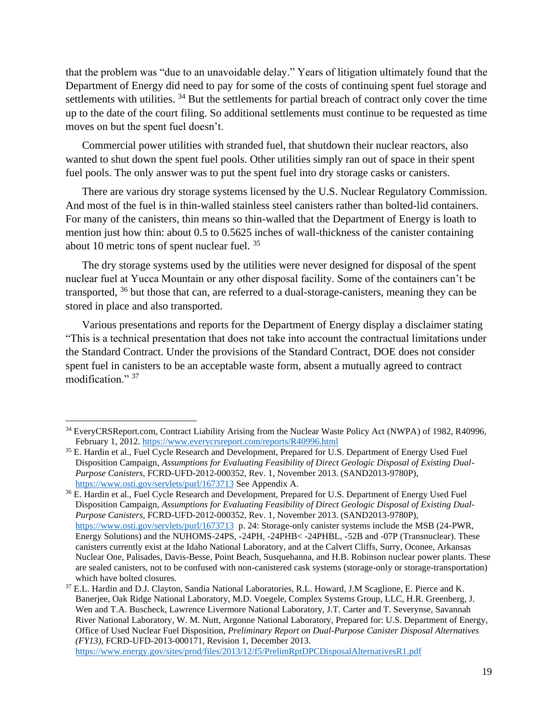that the problem was "due to an unavoidable delay." Years of litigation ultimately found that the Department of Energy did need to pay for some of the costs of continuing spent fuel storage and settlements with utilities. <sup>34</sup> But the settlements for partial breach of contract only cover the time up to the date of the court filing. So additional settlements must continue to be requested as time moves on but the spent fuel doesn't.

Commercial power utilities with stranded fuel, that shutdown their nuclear reactors, also wanted to shut down the spent fuel pools. Other utilities simply ran out of space in their spent fuel pools. The only answer was to put the spent fuel into dry storage casks or canisters.

There are various dry storage systems licensed by the U.S. Nuclear Regulatory Commission. And most of the fuel is in thin-walled stainless steel canisters rather than bolted-lid containers. For many of the canisters, thin means so thin-walled that the Department of Energy is loath to mention just how thin: about 0.5 to 0.5625 inches of wall-thickness of the canister containing about 10 metric tons of spent nuclear fuel. <sup>35</sup>

The dry storage systems used by the utilities were never designed for disposal of the spent nuclear fuel at Yucca Mountain or any other disposal facility. Some of the containers can't be transported, <sup>36</sup> but those that can, are referred to a dual-storage-canisters, meaning they can be stored in place and also transported.

Various presentations and reports for the Department of Energy display a disclaimer stating "This is a technical presentation that does not take into account the contractual limitations under the Standard Contract. Under the provisions of the Standard Contract, DOE does not consider spent fuel in canisters to be an acceptable waste form, absent a mutually agreed to contract modification." 37

<sup>&</sup>lt;sup>34</sup> EveryCRSReport.com, Contract Liability Arising from the Nuclear Waste Policy Act (NWPA) of 1982, R40996, February 1, 2012.<https://www.everycrsreport.com/reports/R40996.html>

<sup>&</sup>lt;sup>35</sup> E. Hardin et al., Fuel Cycle Research and Development, Prepared for U.S. Department of Energy Used Fuel Disposition Campaign, *Assumptions for Evaluating Feasibility of Direct Geologic Disposal of Existing Dual-Purpose Canisters*, FCRD-UFD-2012-000352, Rev. 1, November 2013. (SAND2013-9780P), <https://www.osti.gov/servlets/purl/1673713> See Appendix A.

<sup>&</sup>lt;sup>36</sup> E. Hardin et al., Fuel Cycle Research and Development, Prepared for U.S. Department of Energy Used Fuel Disposition Campaign, *Assumptions for Evaluating Feasibility of Direct Geologic Disposal of Existing Dual-Purpose Canisters*, FCRD-UFD-2012-000352, Rev. 1, November 2013. (SAND2013-9780P), <https://www.osti.gov/servlets/purl/1673713>p. 24: Storage-only canister systems include the MSB (24-PWR, Energy Solutions) and the NUHOMS-24PS, -24PH, -24PHB< -24PHBL, -52B and -07P (Transnuclear). These canisters currently exist at the Idaho National Laboratory, and at the Calvert Cliffs, Surry, Oconee, Arkansas Nuclear One, Palisades, Davis-Besse, Point Beach, Susquehanna, and H.B. Robinson nuclear power plants. These are sealed canisters, not to be confused with non-canistered cask systems (storage-only or storage-transportation) which have bolted closures.

<sup>37</sup> E.L. Hardin and D.J. Clayton, Sandia National Laboratories, R.L. Howard, J.M Scaglione, E. Pierce and K. Banerjee, Oak Ridge National Laboratory, M.D. Voegele, Complex Systems Group, LLC, H.R. Greenberg, J. Wen and T.A. Buscheck, Lawrence Livermore National Laboratory, J.T. Carter and T. Severynse, Savannah River National Laboratory, W. M. Nutt, Argonne National Laboratory, Prepared for: U.S. Department of Energy, Office of Used Nuclear Fuel Disposition, *Preliminary Report on Dual-Purpose Canister Disposal Alternatives (FY13)*, FCRD-UFD-2013-000171, Revision 1, December 2013.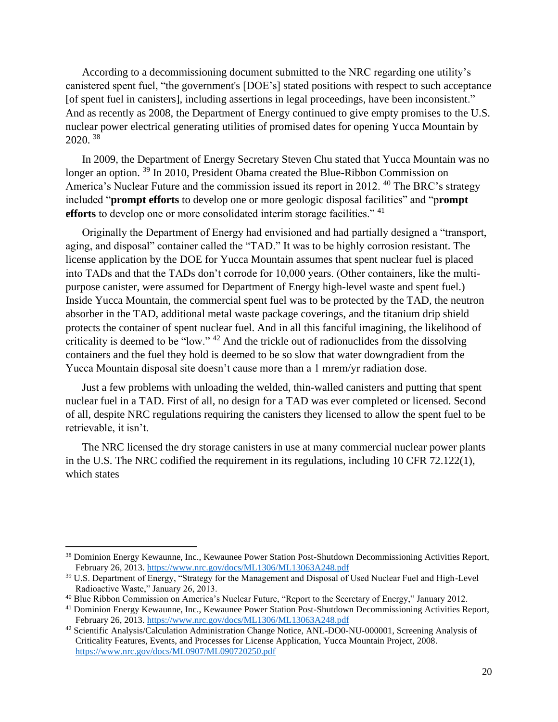According to a decommissioning document submitted to the NRC regarding one utility's canistered spent fuel, "the government's [DOE's] stated positions with respect to such acceptance [of spent fuel in canisters], including assertions in legal proceedings, have been inconsistent." And as recently as 2008, the Department of Energy continued to give empty promises to the U.S. nuclear power electrical generating utilities of promised dates for opening Yucca Mountain by 2020. <sup>38</sup>

In 2009, the Department of Energy Secretary Steven Chu stated that Yucca Mountain was no longer an option. <sup>39</sup> In 2010, President Obama created the Blue-Ribbon Commission on America's Nuclear Future and the commission issued its report in 2012.<sup>40</sup> The BRC's strategy included "**prompt efforts** to develop one or more geologic disposal facilities" and "p**rompt efforts** to develop one or more consolidated interim storage facilities."<sup>41</sup>

Originally the Department of Energy had envisioned and had partially designed a "transport, aging, and disposal" container called the "TAD." It was to be highly corrosion resistant. The license application by the DOE for Yucca Mountain assumes that spent nuclear fuel is placed into TADs and that the TADs don't corrode for 10,000 years. (Other containers, like the multipurpose canister, were assumed for Department of Energy high-level waste and spent fuel.) Inside Yucca Mountain, the commercial spent fuel was to be protected by the TAD, the neutron absorber in the TAD, additional metal waste package coverings, and the titanium drip shield protects the container of spent nuclear fuel. And in all this fanciful imagining, the likelihood of criticality is deemed to be "low."  $42$  And the trickle out of radionuclides from the dissolving containers and the fuel they hold is deemed to be so slow that water downgradient from the Yucca Mountain disposal site doesn't cause more than a 1 mrem/yr radiation dose.

Just a few problems with unloading the welded, thin-walled canisters and putting that spent nuclear fuel in a TAD. First of all, no design for a TAD was ever completed or licensed. Second of all, despite NRC regulations requiring the canisters they licensed to allow the spent fuel to be retrievable, it isn't.

The NRC licensed the dry storage canisters in use at many commercial nuclear power plants in the U.S. The NRC codified the requirement in its regulations, including 10 CFR 72.122(1), which states

<sup>&</sup>lt;sup>38</sup> Dominion Energy Kewaunne, Inc., Kewaunee Power Station Post-Shutdown Decommissioning Activities Report, February 26, 2013.<https://www.nrc.gov/docs/ML1306/ML13063A248.pdf>

<sup>&</sup>lt;sup>39</sup> U.S. Department of Energy, "Strategy for the Management and Disposal of Used Nuclear Fuel and High-Level Radioactive Waste," January 26, 2013.

<sup>40</sup> Blue Ribbon Commission on America's Nuclear Future, "Report to the Secretary of Energy," January 2012.

<sup>41</sup> Dominion Energy Kewaunne, Inc., Kewaunee Power Station Post-Shutdown Decommissioning Activities Report, February 26, 2013.<https://www.nrc.gov/docs/ML1306/ML13063A248.pdf>

<sup>42</sup> Scientific Analysis/Calculation Administration Change Notice, ANL-DO0-NU-000001, Screening Analysis of Criticality Features, Events, and Processes for License Application, Yucca Mountain Project, 2008. <https://www.nrc.gov/docs/ML0907/ML090720250.pdf>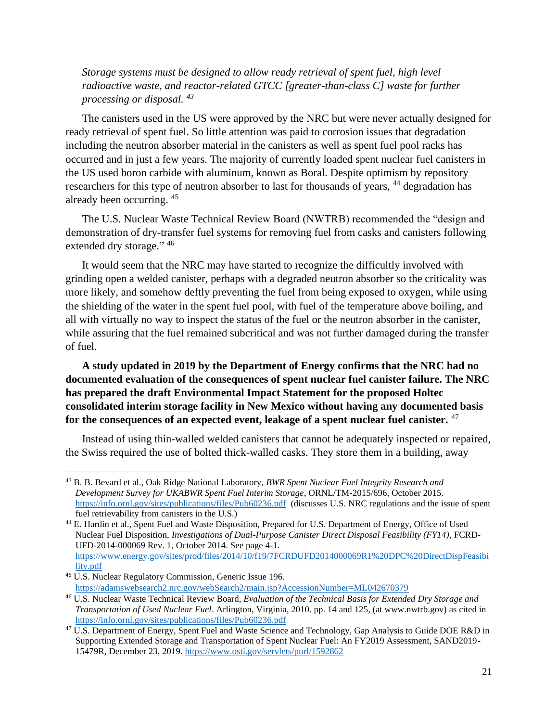*Storage systems must be designed to allow ready retrieval of spent fuel, high level radioactive waste, and reactor-related GTCC [greater-than-class C] waste for further processing or disposal. <sup>43</sup>*

The canisters used in the US were approved by the NRC but were never actually designed for ready retrieval of spent fuel. So little attention was paid to corrosion issues that degradation including the neutron absorber material in the canisters as well as spent fuel pool racks has occurred and in just a few years. The majority of currently loaded spent nuclear fuel canisters in the US used boron carbide with aluminum, known as Boral. Despite optimism by repository researchers for this type of neutron absorber to last for thousands of years, <sup>44</sup> degradation has already been occurring. <sup>45</sup>

The U.S. Nuclear Waste Technical Review Board (NWTRB) recommended the "design and demonstration of dry-transfer fuel systems for removing fuel from casks and canisters following extended dry storage." 46

It would seem that the NRC may have started to recognize the difficultly involved with grinding open a welded canister, perhaps with a degraded neutron absorber so the criticality was more likely, and somehow deftly preventing the fuel from being exposed to oxygen, while using the shielding of the water in the spent fuel pool, with fuel of the temperature above boiling, and all with virtually no way to inspect the status of the fuel or the neutron absorber in the canister, while assuring that the fuel remained subcritical and was not further damaged during the transfer of fuel.

# **A study updated in 2019 by the Department of Energy confirms that the NRC had no documented evaluation of the consequences of spent nuclear fuel canister failure. The NRC has prepared the draft Environmental Impact Statement for the proposed Holtec consolidated interim storage facility in New Mexico without having any documented basis for the consequences of an expected event, leakage of a spent nuclear fuel canister.** <sup>47</sup>

Instead of using thin-walled welded canisters that cannot be adequately inspected or repaired, the Swiss required the use of bolted thick-walled casks. They store them in a building, away

<sup>43</sup> B. B. Bevard et al., Oak Ridge National Laboratory, *BWR Spent Nuclear Fuel Integrity Research and Development Survey for UKABWR Spent Fuel Interim Storage*, ORNL/TM-2015/696, October 2015. <https://info.ornl.gov/sites/publications/files/Pub60236.pdf>(discusses U.S. NRC regulations and the issue of spent fuel retrievability from canisters in the U.S.)

<sup>44</sup> E. Hardin et al., Spent Fuel and Waste Disposition, Prepared for U.S. Department of Energy, Office of Used Nuclear Fuel Disposition, *Investigations of Dual-Purpose Canister Direct Disposal Feasibility (FY14)*, FCRD-UFD-2014-000069 Rev. 1, October 2014. See page 4-1. [https://www.energy.gov/sites/prod/files/2014/10/f19/7FCRDUFD2014000069R1%20DPC%20DirectDispFeasibi](https://www.energy.gov/sites/prod/files/2014/10/f19/7FCRDUFD2014000069R1%20DPC%20DirectDispFeasibility.pdf) [lity.pdf](https://www.energy.gov/sites/prod/files/2014/10/f19/7FCRDUFD2014000069R1%20DPC%20DirectDispFeasibility.pdf)

<sup>45</sup> U.S. Nuclear Regulatory Commission, Generic Issue 196. <https://adamswebsearch2.nrc.gov/webSearch2/main.jsp?AccessionNumber=ML042670379>

<sup>46</sup> U.S. Nuclear Waste Technical Review Board, *Evaluation of the Technical Basis for Extended Dry Storage and Transportation of Used Nuclear Fuel*. Arlington, Virginia, 2010. pp. 14 and 125, (at www.nwtrb.gov) as cited in <https://info.ornl.gov/sites/publications/files/Pub60236.pdf>

<sup>&</sup>lt;sup>47</sup> U.S. Department of Energy, Spent Fuel and Waste Science and Technology, Gap Analysis to Guide DOE R&D in Supporting Extended Storage and Transportation of Spent Nuclear Fuel: An FY2019 Assessment, SAND2019- 15479R, December 23, 2019.<https://www.osti.gov/servlets/purl/1592862>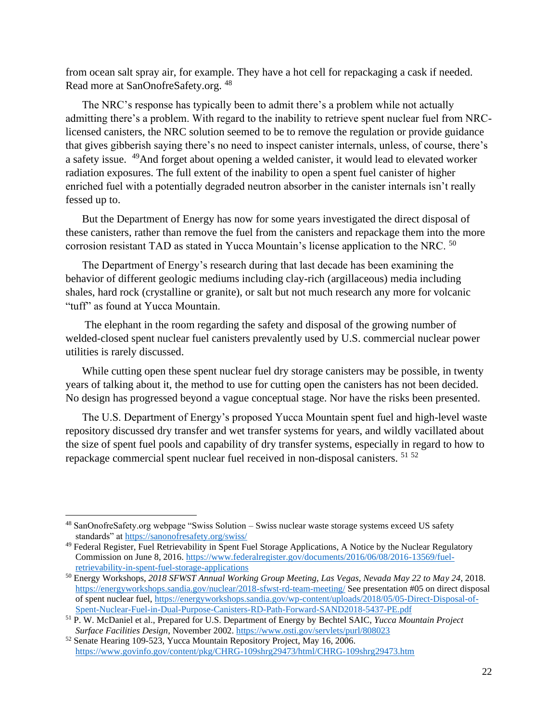from ocean salt spray air, for example. They have a hot cell for repackaging a cask if needed. Read more at SanOnofreSafety.org. <sup>48</sup>

The NRC's response has typically been to admit there's a problem while not actually admitting there's a problem. With regard to the inability to retrieve spent nuclear fuel from NRClicensed canisters, the NRC solution seemed to be to remove the regulation or provide guidance that gives gibberish saying there's no need to inspect canister internals, unless, of course, there's a safety issue. <sup>49</sup>And forget about opening a welded canister, it would lead to elevated worker radiation exposures. The full extent of the inability to open a spent fuel canister of higher enriched fuel with a potentially degraded neutron absorber in the canister internals isn't really fessed up to.

But the Department of Energy has now for some years investigated the direct disposal of these canisters, rather than remove the fuel from the canisters and repackage them into the more corrosion resistant TAD as stated in Yucca Mountain's license application to the NRC. <sup>50</sup>

The Department of Energy's research during that last decade has been examining the behavior of different geologic mediums including clay-rich (argillaceous) media including shales, hard rock (crystalline or granite), or salt but not much research any more for volcanic "tuff" as found at Yucca Mountain.

The elephant in the room regarding the safety and disposal of the growing number of welded-closed spent nuclear fuel canisters prevalently used by U.S. commercial nuclear power utilities is rarely discussed.

While cutting open these spent nuclear fuel dry storage canisters may be possible, in twenty years of talking about it, the method to use for cutting open the canisters has not been decided. No design has progressed beyond a vague conceptual stage. Nor have the risks been presented.

The U.S. Department of Energy's proposed Yucca Mountain spent fuel and high-level waste repository discussed dry transfer and wet transfer systems for years, and wildly vacillated about the size of spent fuel pools and capability of dry transfer systems, especially in regard to how to repackage commercial spent nuclear fuel received in non-disposal canisters. <sup>51</sup> <sup>52</sup>

<sup>48</sup> SanOnofreSafety.org webpage "Swiss Solution – Swiss nuclear waste storage systems exceed US safety standards" at<https://sanonofresafety.org/swiss/>

<sup>&</sup>lt;sup>49</sup> Federal Register, Fuel Retrievability in Spent Fuel Storage Applications, A Notice by the Nuclear Regulatory Commission on June 8, 2016. [https://www.federalregister.gov/documents/2016/06/08/2016-13569/fuel](https://www.federalregister.gov/documents/2016/06/08/2016-13569/fuel-retrievability-in-spent-fuel-storage-applications)[retrievability-in-spent-fuel-storage-applications](https://www.federalregister.gov/documents/2016/06/08/2016-13569/fuel-retrievability-in-spent-fuel-storage-applications)

<sup>50</sup> Energy Workshops, *2018 SFWST Annual Working Group Meeting, Las Vegas, Nevada May 22 to May 24*, 2018. <https://energyworkshops.sandia.gov/nuclear/2018-sfwst-rd-team-meeting/> See presentation #05 on direct disposal of spent nuclear fuel[, https://energyworkshops.sandia.gov/wp-content/uploads/2018/05/05-Direct-Disposal-of-](https://energyworkshops.sandia.gov/wp-content/uploads/2018/05/05-Direct-Disposal-of-Spent-Nuclear-Fuel-in-Dual-Purpose-Canisters-RD-Path-Forward-SAND2018-5437-PE.pdf)[Spent-Nuclear-Fuel-in-Dual-Purpose-Canisters-RD-Path-Forward-SAND2018-5437-PE.pdf](https://energyworkshops.sandia.gov/wp-content/uploads/2018/05/05-Direct-Disposal-of-Spent-Nuclear-Fuel-in-Dual-Purpose-Canisters-RD-Path-Forward-SAND2018-5437-PE.pdf)

<sup>51</sup> P. W. McDaniel et al., Prepared for U.S. Department of Energy by Bechtel SAIC, *Yucca Mountain Project Surface Facilities Design*, November 2002.<https://www.osti.gov/servlets/purl/808023>

<sup>52</sup> Senate Hearing 109-523, Yucca Mountain Repository Project, May 16, 2006. <https://www.govinfo.gov/content/pkg/CHRG-109shrg29473/html/CHRG-109shrg29473.htm>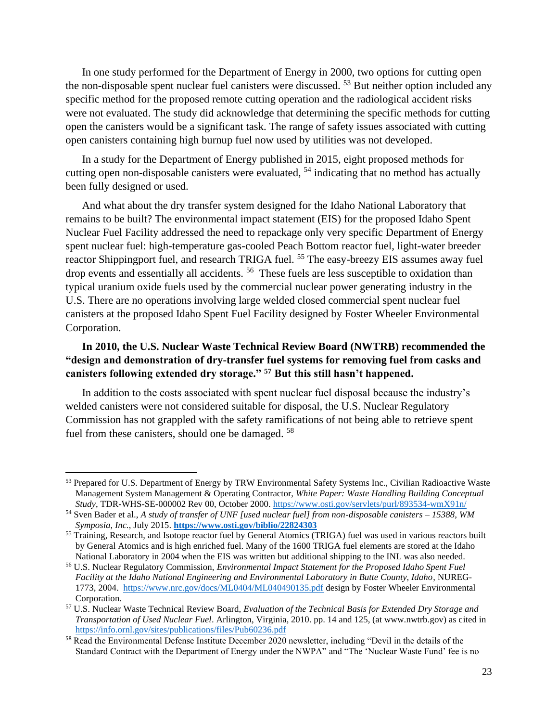In one study performed for the Department of Energy in 2000, two options for cutting open the non-disposable spent nuclear fuel canisters were discussed. <sup>53</sup> But neither option included any specific method for the proposed remote cutting operation and the radiological accident risks were not evaluated. The study did acknowledge that determining the specific methods for cutting open the canisters would be a significant task. The range of safety issues associated with cutting open canisters containing high burnup fuel now used by utilities was not developed.

In a study for the Department of Energy published in 2015, eight proposed methods for cutting open non-disposable canisters were evaluated,  $54$  indicating that no method has actually been fully designed or used.

And what about the dry transfer system designed for the Idaho National Laboratory that remains to be built? The environmental impact statement (EIS) for the proposed Idaho Spent Nuclear Fuel Facility addressed the need to repackage only very specific Department of Energy spent nuclear fuel: high-temperature gas-cooled Peach Bottom reactor fuel, light-water breeder reactor Shippingport fuel, and research TRIGA fuel. <sup>55</sup> The easy-breezy EIS assumes away fuel drop events and essentially all accidents.<sup>56</sup> These fuels are less susceptible to oxidation than typical uranium oxide fuels used by the commercial nuclear power generating industry in the U.S. There are no operations involving large welded closed commercial spent nuclear fuel canisters at the proposed Idaho Spent Fuel Facility designed by Foster Wheeler Environmental Corporation.

### **In 2010, the U.S. Nuclear Waste Technical Review Board (NWTRB) recommended the "design and demonstration of dry-transfer fuel systems for removing fuel from casks and canisters following extended dry storage." <sup>57</sup> But this still hasn't happened.**

In addition to the costs associated with spent nuclear fuel disposal because the industry's welded canisters were not considered suitable for disposal, the U.S. Nuclear Regulatory Commission has not grappled with the safety ramifications of not being able to retrieve spent fuel from these canisters, should one be damaged. <sup>58</sup>

<sup>&</sup>lt;sup>53</sup> Prepared for U.S. Department of Energy by TRW Environmental Safety Systems Inc., Civilian Radioactive Waste Management System Management & Operating Contractor, *White Paper: Waste Handling Building Conceptual Study*, TDR-WHS-SE-000002 Rev 00, October 2000[. https://www.osti.gov/servlets/purl/893534-wmX91n/](https://www.osti.gov/servlets/purl/893534-wmX91n/)

<sup>54</sup> Sven Bader et al., *A study of transfer of UNF [used nuclear fuel] from non-disposable canisters – 15388, WM Symposia, Inc.*, July 2015. **<https://www.osti.gov/biblio/22824303>**

<sup>&</sup>lt;sup>55</sup> Training, Research, and Isotope reactor fuel by General Atomics (TRIGA) fuel was used in various reactors built by General Atomics and is high enriched fuel. Many of the 1600 TRIGA fuel elements are stored at the Idaho National Laboratory in 2004 when the EIS was written but additional shipping to the INL was also needed.

<sup>56</sup> U.S. Nuclear Regulatory Commission, *Environmental Impact Statement for the Proposed Idaho Spent Fuel Facility at the Idaho National Engineering and Environmental Laboratory in Butte County, Idaho*, NUREG-1773, 2004. <https://www.nrc.gov/docs/ML0404/ML040490135.pdf> design by Foster Wheeler Environmental Corporation.

<sup>57</sup> U.S. Nuclear Waste Technical Review Board, *Evaluation of the Technical Basis for Extended Dry Storage and Transportation of Used Nuclear Fuel*. Arlington, Virginia, 2010. pp. 14 and 125, (at www.nwtrb.gov) as cited in <https://info.ornl.gov/sites/publications/files/Pub60236.pdf>

<sup>58</sup> Read the Environmental Defense Institute December 2020 newsletter, including "Devil in the details of the Standard Contract with the Department of Energy under the NWPA" and "The 'Nuclear Waste Fund' fee is no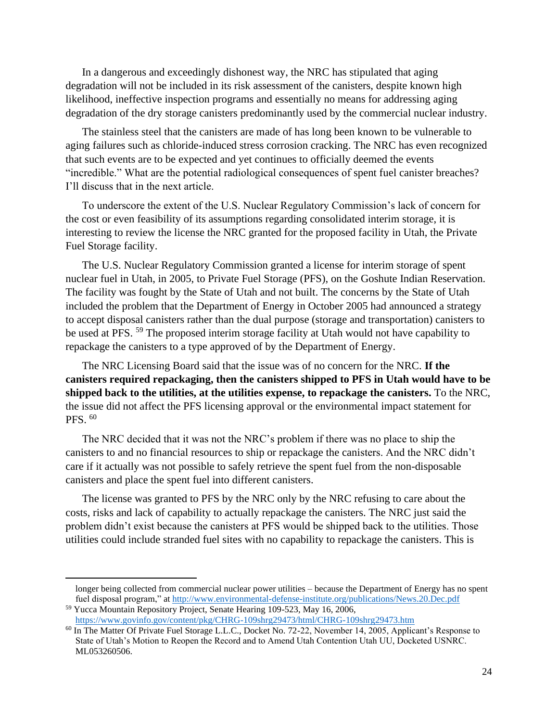In a dangerous and exceedingly dishonest way, the NRC has stipulated that aging degradation will not be included in its risk assessment of the canisters, despite known high likelihood, ineffective inspection programs and essentially no means for addressing aging degradation of the dry storage canisters predominantly used by the commercial nuclear industry.

The stainless steel that the canisters are made of has long been known to be vulnerable to aging failures such as chloride-induced stress corrosion cracking. The NRC has even recognized that such events are to be expected and yet continues to officially deemed the events "incredible." What are the potential radiological consequences of spent fuel canister breaches? I'll discuss that in the next article.

To underscore the extent of the U.S. Nuclear Regulatory Commission's lack of concern for the cost or even feasibility of its assumptions regarding consolidated interim storage, it is interesting to review the license the NRC granted for the proposed facility in Utah, the Private Fuel Storage facility.

The U.S. Nuclear Regulatory Commission granted a license for interim storage of spent nuclear fuel in Utah, in 2005, to Private Fuel Storage (PFS), on the Goshute Indian Reservation. The facility was fought by the State of Utah and not built. The concerns by the State of Utah included the problem that the Department of Energy in October 2005 had announced a strategy to accept disposal canisters rather than the dual purpose (storage and transportation) canisters to be used at PFS.<sup>59</sup> The proposed interim storage facility at Utah would not have capability to repackage the canisters to a type approved of by the Department of Energy.

The NRC Licensing Board said that the issue was of no concern for the NRC. **If the canisters required repackaging, then the canisters shipped to PFS in Utah would have to be shipped back to the utilities, at the utilities expense, to repackage the canisters.** To the NRC, the issue did not affect the PFS licensing approval or the environmental impact statement for PFS. <sup>60</sup>

The NRC decided that it was not the NRC's problem if there was no place to ship the canisters to and no financial resources to ship or repackage the canisters. And the NRC didn't care if it actually was not possible to safely retrieve the spent fuel from the non-disposable canisters and place the spent fuel into different canisters.

The license was granted to PFS by the NRC only by the NRC refusing to care about the costs, risks and lack of capability to actually repackage the canisters. The NRC just said the problem didn't exist because the canisters at PFS would be shipped back to the utilities. Those utilities could include stranded fuel sites with no capability to repackage the canisters. This is

longer being collected from commercial nuclear power utilities – because the Department of Energy has no spent fuel disposal program," at<http://www.environmental-defense-institute.org/publications/News.20.Dec.pdf>

<sup>59</sup> Yucca Mountain Repository Project, Senate Hearing 109-523, May 16, 2006, <https://www.govinfo.gov/content/pkg/CHRG-109shrg29473/html/CHRG-109shrg29473.htm>

<sup>&</sup>lt;sup>60</sup> In The Matter Of Private Fuel Storage L.L.C., Docket No. 72-22, November 14, 2005, Applicant's Response to State of Utah's Motion to Reopen the Record and to Amend Utah Contention Utah UU, Docketed USNRC. ML053260506.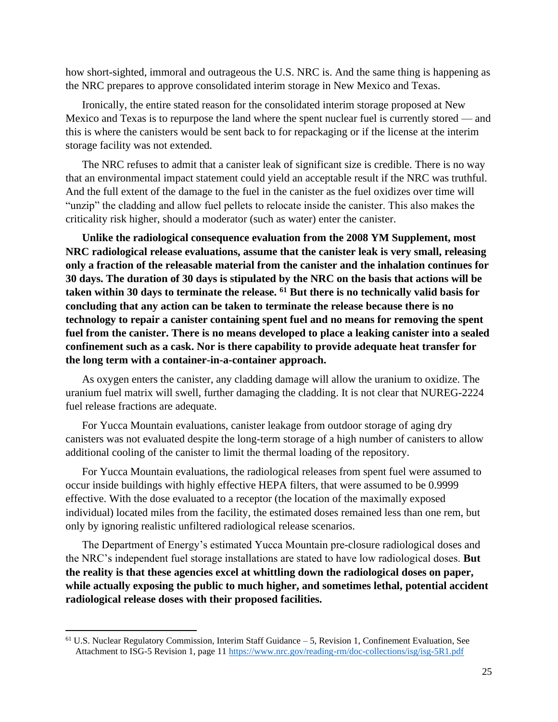how short-sighted, immoral and outrageous the U.S. NRC is. And the same thing is happening as the NRC prepares to approve consolidated interim storage in New Mexico and Texas.

Ironically, the entire stated reason for the consolidated interim storage proposed at New Mexico and Texas is to repurpose the land where the spent nuclear fuel is currently stored — and this is where the canisters would be sent back to for repackaging or if the license at the interim storage facility was not extended.

The NRC refuses to admit that a canister leak of significant size is credible. There is no way that an environmental impact statement could yield an acceptable result if the NRC was truthful. And the full extent of the damage to the fuel in the canister as the fuel oxidizes over time will "unzip" the cladding and allow fuel pellets to relocate inside the canister. This also makes the criticality risk higher, should a moderator (such as water) enter the canister.

**Unlike the radiological consequence evaluation from the 2008 YM Supplement, most NRC radiological release evaluations, assume that the canister leak is very small, releasing only a fraction of the releasable material from the canister and the inhalation continues for 30 days. The duration of 30 days is stipulated by the NRC on the basis that actions will be taken within 30 days to terminate the release. <sup>61</sup> But there is no technically valid basis for concluding that any action can be taken to terminate the release because there is no technology to repair a canister containing spent fuel and no means for removing the spent fuel from the canister. There is no means developed to place a leaking canister into a sealed confinement such as a cask. Nor is there capability to provide adequate heat transfer for the long term with a container-in-a-container approach.**

As oxygen enters the canister, any cladding damage will allow the uranium to oxidize. The uranium fuel matrix will swell, further damaging the cladding. It is not clear that NUREG-2224 fuel release fractions are adequate.

For Yucca Mountain evaluations, canister leakage from outdoor storage of aging dry canisters was not evaluated despite the long-term storage of a high number of canisters to allow additional cooling of the canister to limit the thermal loading of the repository.

For Yucca Mountain evaluations, the radiological releases from spent fuel were assumed to occur inside buildings with highly effective HEPA filters, that were assumed to be 0.9999 effective. With the dose evaluated to a receptor (the location of the maximally exposed individual) located miles from the facility, the estimated doses remained less than one rem, but only by ignoring realistic unfiltered radiological release scenarios.

The Department of Energy's estimated Yucca Mountain pre-closure radiological doses and the NRC's independent fuel storage installations are stated to have low radiological doses. **But the reality is that these agencies excel at whittling down the radiological doses on paper, while actually exposing the public to much higher, and sometimes lethal, potential accident radiological release doses with their proposed facilities.**

<sup>61</sup> U.S. Nuclear Regulatory Commission, Interim Staff Guidance – 5, Revision 1, Confinement Evaluation, See Attachment to ISG-5 Revision 1, page 11<https://www.nrc.gov/reading-rm/doc-collections/isg/isg-5R1.pdf>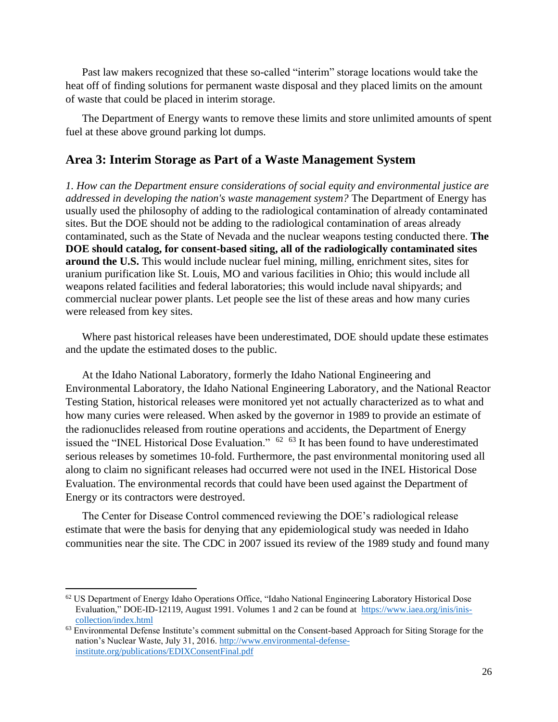Past law makers recognized that these so-called "interim" storage locations would take the heat off of finding solutions for permanent waste disposal and they placed limits on the amount of waste that could be placed in interim storage.

The Department of Energy wants to remove these limits and store unlimited amounts of spent fuel at these above ground parking lot dumps.

### **Area 3: Interim Storage as Part of a Waste Management System**

*1. How can the Department ensure considerations of social equity and environmental justice are addressed in developing the nation's waste management system?* The Department of Energy has usually used the philosophy of adding to the radiological contamination of already contaminated sites. But the DOE should not be adding to the radiological contamination of areas already contaminated, such as the State of Nevada and the nuclear weapons testing conducted there. **The DOE should catalog, for consent-based siting, all of the radiologically contaminated sites around the U.S.** This would include nuclear fuel mining, milling, enrichment sites, sites for uranium purification like St. Louis, MO and various facilities in Ohio; this would include all weapons related facilities and federal laboratories; this would include naval shipyards; and commercial nuclear power plants. Let people see the list of these areas and how many curies were released from key sites.

Where past historical releases have been underestimated, DOE should update these estimates and the update the estimated doses to the public.

At the Idaho National Laboratory, formerly the Idaho National Engineering and Environmental Laboratory, the Idaho National Engineering Laboratory, and the National Reactor Testing Station, historical releases were monitored yet not actually characterized as to what and how many curies were released. When asked by the governor in 1989 to provide an estimate of the radionuclides released from routine operations and accidents, the Department of Energy issued the "INEL Historical Dose Evaluation."  $62 \times 63$  It has been found to have underestimated serious releases by sometimes 10-fold. Furthermore, the past environmental monitoring used all along to claim no significant releases had occurred were not used in the INEL Historical Dose Evaluation. The environmental records that could have been used against the Department of Energy or its contractors were destroyed.

The Center for Disease Control commenced reviewing the DOE's radiological release estimate that were the basis for denying that any epidemiological study was needed in Idaho communities near the site. The CDC in 2007 issued its review of the 1989 study and found many

<sup>&</sup>lt;sup>62</sup> US Department of Energy Idaho Operations Office, "Idaho National Engineering Laboratory Historical Dose Evaluation," DOE-ID-12119, August 1991. Volumes 1 and 2 can be found at [https://www.iaea.org/inis/inis](https://www.iaea.org/inis/inis-collection/index.html)[collection/index.html](https://www.iaea.org/inis/inis-collection/index.html)

<sup>&</sup>lt;sup>63</sup> Environmental Defense Institute's comment submittal on the Consent-based Approach for Siting Storage for the nation's Nuclear Waste, July 31, 2016. [http://www.environmental-defense](http://www.environmental-defense-institute.org/publications/EDIXConsentFinal.pdf)[institute.org/publications/EDIXConsentFinal.pdf](http://www.environmental-defense-institute.org/publications/EDIXConsentFinal.pdf)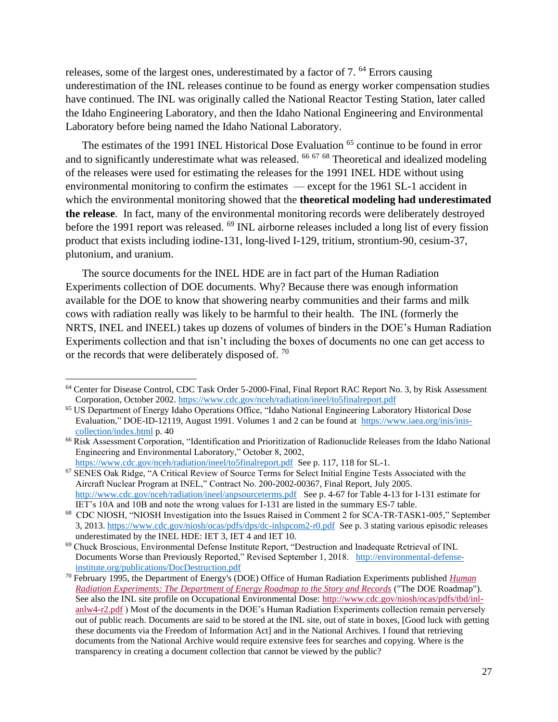releases, some of the largest ones, underestimated by a factor of 7.<sup>64</sup> Errors causing underestimation of the INL releases continue to be found as energy worker compensation studies have continued. The INL was originally called the National Reactor Testing Station, later called the Idaho Engineering Laboratory, and then the Idaho National Engineering and Environmental Laboratory before being named the Idaho National Laboratory.

The estimates of the 1991 INEL Historical Dose Evaluation <sup>65</sup> continue to be found in error and to significantly underestimate what was released. <sup>66 67 68</sup> Theoretical and idealized modeling of the releases were used for estimating the releases for the 1991 INEL HDE without using environmental monitoring to confirm the estimates — except for the 1961 SL-1 accident in which the environmental monitoring showed that the **theoretical modeling had underestimated the release**. In fact, many of the environmental monitoring records were deliberately destroyed before the 1991 report was released. <sup>69</sup> INL airborne releases included a long list of every fission product that exists including iodine-131, long-lived I-129, tritium, strontium-90, cesium-37, plutonium, and uranium.

The source documents for the INEL HDE are in fact part of the Human Radiation Experiments collection of DOE documents. Why? Because there was enough information available for the DOE to know that showering nearby communities and their farms and milk cows with radiation really was likely to be harmful to their health. The INL (formerly the NRTS, INEL and INEEL) takes up dozens of volumes of binders in the DOE's Human Radiation Experiments collection and that isn't including the boxes of documents no one can get access to or the records that were deliberately disposed of.  $70$ 

<https://www.cdc.gov/nceh/radiation/ineel/to5finalreport.pdf>See p. 117, 118 for SL-1. <sup>67</sup> SENES Oak Ridge, "A Critical Review of Source Terms for Select Initial Engine Tests Associated with the Aircraft Nuclear Program at INEL," Contract No. 200-2002-00367, Final Report, July 2005. <http://www.cdc.gov/nceh/radiation/ineel/anpsourceterms.pdf>See p. 4-67 for Table 4-13 for I-131 estimate for IET's 10A and 10B and note the wrong values for I-131 are listed in the summary ES-7 table.

<sup>64</sup> Center for Disease Control, CDC Task Order 5-2000-Final, Final Report RAC Report No. 3, by Risk Assessment Corporation, October 2002.<https://www.cdc.gov/nceh/radiation/ineel/to5finalreport.pdf>

<sup>65</sup> US Department of Energy Idaho Operations Office, "Idaho National Engineering Laboratory Historical Dose Evaluation," DOE-ID-12119, August 1991. Volumes 1 and 2 can be found at [https://www.iaea.org/inis/inis](https://www.iaea.org/inis/inis-collection/index.html)[collection/index.html](https://www.iaea.org/inis/inis-collection/index.html) p. 40

<sup>&</sup>lt;sup>66</sup> Risk Assessment Corporation, "Identification and Prioritization of Radionuclide Releases from the Idaho National Engineering and Environmental Laboratory," October 8, 2002,

<sup>68</sup> CDC NIOSH, "NIOSH Investigation into the Issues Raised in Comment 2 for SCA-TR-TASK1-005," September 3, 2013.<https://www.cdc.gov/niosh/ocas/pdfs/dps/dc-inlspcom2-r0.pdf>See p. 3 stating various episodic releases underestimated by the INEL HDE: IET 3, IET 4 and IET 10.

<sup>69</sup> Chuck Broscious, Environmental Defense Institute Report, "Destruction and Inadequate Retrieval of INL Documents Worse than Previously Reported," Revised September 1, 2018. [http://environmental-defense](http://environmental-defense-institute.org/publications/DocDestruction.pdf)[institute.org/publications/DocDestruction.pdf](http://environmental-defense-institute.org/publications/DocDestruction.pdf)

<sup>70</sup> February 1995, the Department of Energy's (DOE) Office of Human Radiation Experiments published *[Human](https://ehss.energy.gov/ohre/roadmap/roadmap/index.html)  [Radiation Experiments: The Department of Energy Roadmap to the Story and Records](https://ehss.energy.gov/ohre/roadmap/roadmap/index.html)* ("The DOE Roadmap"). See also the INL site profile on Occupational Environmental Dose: [http://www.cdc.gov/niosh/ocas/pdfs/tbd/inl](http://www.cdc.gov/niosh/ocas/pdfs/tbd/inl-anlw4-r2.pdf)[anlw4-r2.pdf](http://www.cdc.gov/niosh/ocas/pdfs/tbd/inl-anlw4-r2.pdf) ) Most of the documents in the DOE's Human Radiation Experiments collection remain perversely out of public reach. Documents are said to be stored at the INL site, out of state in boxes, [Good luck with getting these documents via the Freedom of Information Act] and in the National Archives. I found that retrieving documents from the National Archive would require extensive fees for searches and copying. Where is the transparency in creating a document collection that cannot be viewed by the public?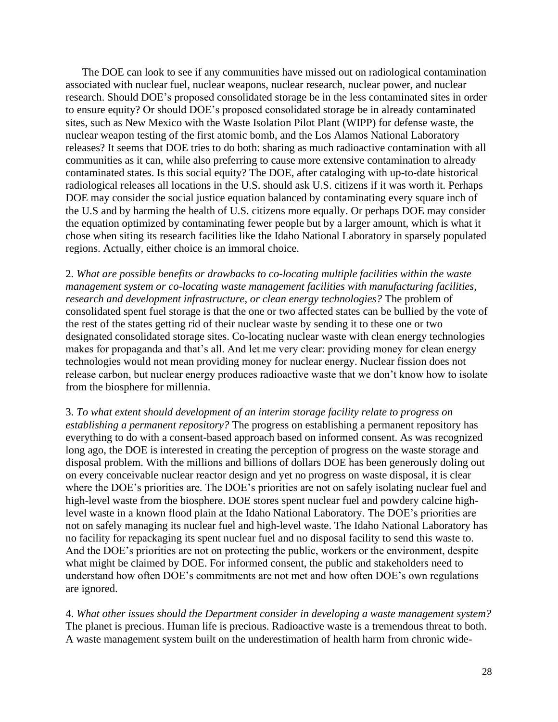The DOE can look to see if any communities have missed out on radiological contamination associated with nuclear fuel, nuclear weapons, nuclear research, nuclear power, and nuclear research. Should DOE's proposed consolidated storage be in the less contaminated sites in order to ensure equity? Or should DOE's proposed consolidated storage be in already contaminated sites, such as New Mexico with the Waste Isolation Pilot Plant (WIPP) for defense waste, the nuclear weapon testing of the first atomic bomb, and the Los Alamos National Laboratory releases? It seems that DOE tries to do both: sharing as much radioactive contamination with all communities as it can, while also preferring to cause more extensive contamination to already contaminated states. Is this social equity? The DOE, after cataloging with up-to-date historical radiological releases all locations in the U.S. should ask U.S. citizens if it was worth it. Perhaps DOE may consider the social justice equation balanced by contaminating every square inch of the U.S and by harming the health of U.S. citizens more equally. Or perhaps DOE may consider the equation optimized by contaminating fewer people but by a larger amount, which is what it chose when siting its research facilities like the Idaho National Laboratory in sparsely populated regions. Actually, either choice is an immoral choice.

2. *What are possible benefits or drawbacks to co-locating multiple facilities within the waste management system or co-locating waste management facilities with manufacturing facilities, research and development infrastructure, or clean energy technologies?* The problem of consolidated spent fuel storage is that the one or two affected states can be bullied by the vote of the rest of the states getting rid of their nuclear waste by sending it to these one or two designated consolidated storage sites. Co-locating nuclear waste with clean energy technologies makes for propaganda and that's all. And let me very clear: providing money for clean energy technologies would not mean providing money for nuclear energy. Nuclear fission does not release carbon, but nuclear energy produces radioactive waste that we don't know how to isolate from the biosphere for millennia.

3. *To what extent should development of an interim storage facility relate to progress on establishing a permanent repository?* The progress on establishing a permanent repository has everything to do with a consent-based approach based on informed consent. As was recognized long ago, the DOE is interested in creating the perception of progress on the waste storage and disposal problem. With the millions and billions of dollars DOE has been generously doling out on every conceivable nuclear reactor design and yet no progress on waste disposal, it is clear where the DOE's priorities are. The DOE's priorities are not on safely isolating nuclear fuel and high-level waste from the biosphere. DOE stores spent nuclear fuel and powdery calcine highlevel waste in a known flood plain at the Idaho National Laboratory. The DOE's priorities are not on safely managing its nuclear fuel and high-level waste. The Idaho National Laboratory has no facility for repackaging its spent nuclear fuel and no disposal facility to send this waste to. And the DOE's priorities are not on protecting the public, workers or the environment, despite what might be claimed by DOE. For informed consent, the public and stakeholders need to understand how often DOE's commitments are not met and how often DOE's own regulations are ignored.

4. *What other issues should the Department consider in developing a waste management system?* The planet is precious. Human life is precious. Radioactive waste is a tremendous threat to both. A waste management system built on the underestimation of health harm from chronic wide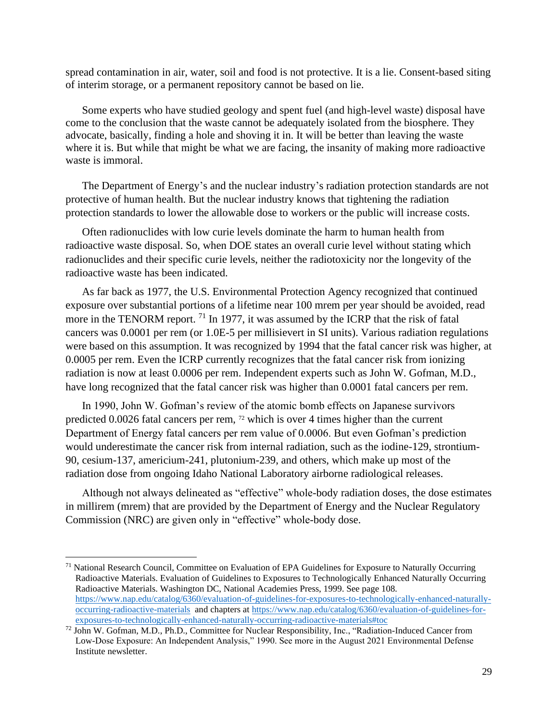spread contamination in air, water, soil and food is not protective. It is a lie. Consent-based siting of interim storage, or a permanent repository cannot be based on lie.

Some experts who have studied geology and spent fuel (and high-level waste) disposal have come to the conclusion that the waste cannot be adequately isolated from the biosphere. They advocate, basically, finding a hole and shoving it in. It will be better than leaving the waste where it is. But while that might be what we are facing, the insanity of making more radioactive waste is immoral.

The Department of Energy's and the nuclear industry's radiation protection standards are not protective of human health. But the nuclear industry knows that tightening the radiation protection standards to lower the allowable dose to workers or the public will increase costs.

Often radionuclides with low curie levels dominate the harm to human health from radioactive waste disposal. So, when DOE states an overall curie level without stating which radionuclides and their specific curie levels, neither the radiotoxicity nor the longevity of the radioactive waste has been indicated.

As far back as 1977, the U.S. Environmental Protection Agency recognized that continued exposure over substantial portions of a lifetime near 100 mrem per year should be avoided, read more in the TENORM report. <sup>71</sup> In 1977, it was assumed by the ICRP that the risk of fatal cancers was 0.0001 per rem (or 1.0E-5 per millisievert in SI units). Various radiation regulations were based on this assumption. It was recognized by 1994 that the fatal cancer risk was higher, at 0.0005 per rem. Even the ICRP currently recognizes that the fatal cancer risk from ionizing radiation is now at least 0.0006 per rem. Independent experts such as John W. Gofman, M.D., have long recognized that the fatal cancer risk was higher than 0.0001 fatal cancers per rem.

In 1990, John W. Gofman's review of the atomic bomb effects on Japanese survivors predicted 0.0026 fatal cancers per rem, <sup>72</sup> which is over 4 times higher than the current Department of Energy fatal cancers per rem value of 0.0006. But even Gofman's prediction would underestimate the cancer risk from internal radiation, such as the iodine-129, strontium-90, cesium-137, americium-241, plutonium-239, and others, which make up most of the radiation dose from ongoing Idaho National Laboratory airborne radiological releases.

Although not always delineated as "effective" whole-body radiation doses, the dose estimates in millirem (mrem) that are provided by the Department of Energy and the Nuclear Regulatory Commission (NRC) are given only in "effective" whole-body dose.

<sup>71</sup> National Research Council, Committee on Evaluation of EPA Guidelines for Exposure to Naturally Occurring Radioactive Materials. Evaluation of Guidelines to Exposures to Technologically Enhanced Naturally Occurring Radioactive Materials. Washington DC, National Academies Press, 1999. See page 108. [https://www.nap.edu/catalog/6360/evaluation-of-guidelines-for-exposures-to-technologically-enhanced-naturally](https://www.nap.edu/catalog/6360/evaluation-of-guidelines-for-exposures-to-technologically-enhanced-naturally-occurring-radioactive-materials)[occurring-radioactive-materials](https://www.nap.edu/catalog/6360/evaluation-of-guidelines-for-exposures-to-technologically-enhanced-naturally-occurring-radioactive-materials) and chapters at [https://www.nap.edu/catalog/6360/evaluation-of-guidelines-for](https://www.nap.edu/catalog/6360/evaluation-of-guidelines-for-exposures-to-technologically-enhanced-naturally-occurring-radioactive-materials#toc)[exposures-to-technologically-enhanced-naturally-occurring-radioactive-materials#toc](https://www.nap.edu/catalog/6360/evaluation-of-guidelines-for-exposures-to-technologically-enhanced-naturally-occurring-radioactive-materials#toc)

<sup>72</sup> John W. Gofman, M.D., Ph.D., Committee for Nuclear Responsibility, Inc., "Radiation-Induced Cancer from Low-Dose Exposure: An Independent Analysis," 1990. See more in the August 2021 Environmental Defense Institute newsletter.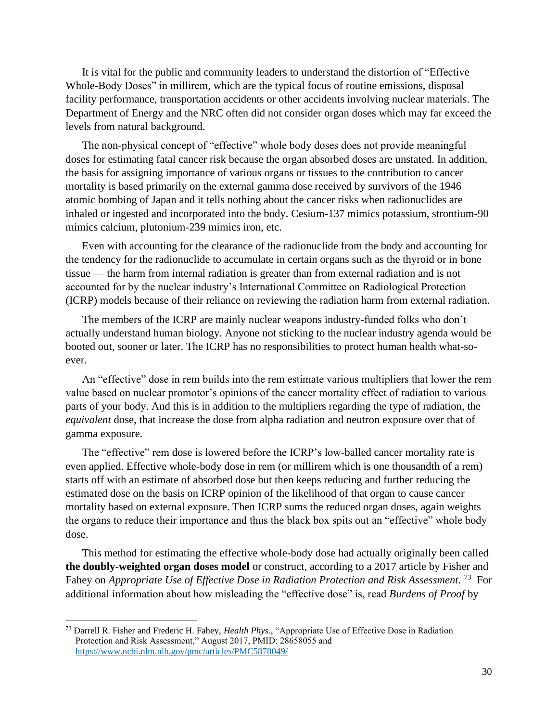It is vital for the public and community leaders to understand the distortion of "Effective Whole-Body Doses" in millirem, which are the typical focus of routine emissions, disposal facility performance, transportation accidents or other accidents involving nuclear materials. The Department of Energy and the NRC often did not consider organ doses which may far exceed the levels from natural background.

The non-physical concept of "effective" whole body doses does not provide meaningful doses for estimating fatal cancer risk because the organ absorbed doses are unstated. In addition, the basis for assigning importance of various organs or tissues to the contribution to cancer mortality is based primarily on the external gamma dose received by survivors of the 1946 atomic bombing of Japan and it tells nothing about the cancer risks when radionuclides are inhaled or ingested and incorporated into the body. Cesium-137 mimics potassium, strontium-90 mimics calcium, plutonium-239 mimics iron, etc.

Even with accounting for the clearance of the radionuclide from the body and accounting for the tendency for the radionuclide to accumulate in certain organs such as the thyroid or in bone tissue — the harm from internal radiation is greater than from external radiation and is not accounted for by the nuclear industry's International Committee on Radiological Protection (ICRP) models because of their reliance on reviewing the radiation harm from external radiation.

The members of the ICRP are mainly nuclear weapons industry-funded folks who don't actually understand human biology. Anyone not sticking to the nuclear industry agenda would be booted out, sooner or later. The ICRP has no responsibilities to protect human health what-soever.

An "effective" dose in rem builds into the rem estimate various multipliers that lower the rem value based on nuclear promotor's opinions of the cancer mortality effect of radiation to various parts of your body. And this is in addition to the multipliers regarding the type of radiation, the *equivalent* dose, that increase the dose from alpha radiation and neutron exposure over that of gamma exposure.

The "effective" rem dose is lowered before the ICRP's low-balled cancer mortality rate is even applied. Effective whole-body dose in rem (or millirem which is one thousandth of a rem) starts off with an estimate of absorbed dose but then keeps reducing and further reducing the estimated dose on the basis on ICRP opinion of the likelihood of that organ to cause cancer mortality based on external exposure. Then ICRP sums the reduced organ doses, again weights the organs to reduce their importance and thus the black box spits out an "effective" whole body dose.

This method for estimating the effective whole-body dose had actually originally been called **the doubly-weighted organ doses model** or construct, according to a 2017 article by Fisher and Fahey on *Appropriate Use of Effective Dose in Radiation Protection and Risk Assessment*.<sup>73</sup> For additional information about how misleading the "effective dose" is, read *Burdens of Proof* by

<sup>73</sup> Darrell R. Fisher and Frederic H. Fahey, *Health Phys*., "Appropriate Use of Effective Dose in Radiation Protection and Risk Assessment," August 2017, PMID: 28658055 and <https://www.ncbi.nlm.nih.gov/pmc/articles/PMC5878049/>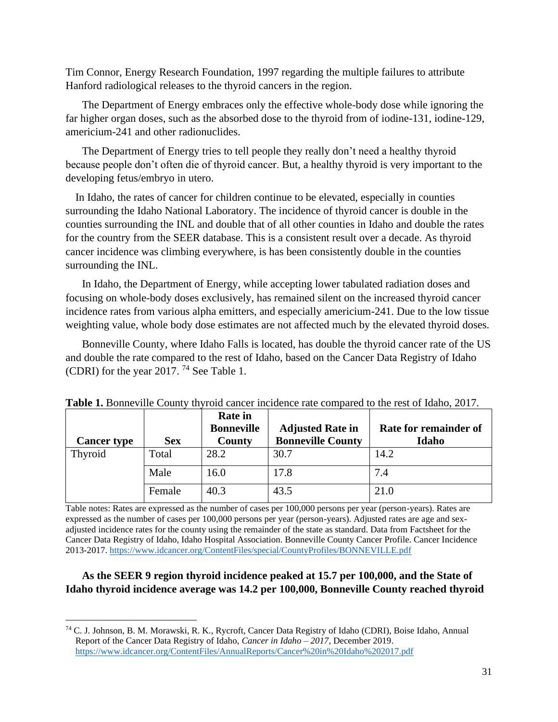Tim Connor, Energy Research Foundation, 1997 regarding the multiple failures to attribute Hanford radiological releases to the thyroid cancers in the region.

The Department of Energy embraces only the effective whole-body dose while ignoring the far higher organ doses, such as the absorbed dose to the thyroid from of iodine-131, iodine-129, americium-241 and other radionuclides.

The Department of Energy tries to tell people they really don't need a healthy thyroid because people don't often die of thyroid cancer. But, a healthy thyroid is very important to the developing fetus/embryo in utero.

In Idaho, the rates of cancer for children continue to be elevated, especially in counties surrounding the Idaho National Laboratory. The incidence of thyroid cancer is double in the counties surrounding the INL and double that of all other counties in Idaho and double the rates for the country from the SEER database. This is a consistent result over a decade. As thyroid cancer incidence was climbing everywhere, is has been consistently double in the counties surrounding the INL.

In Idaho, the Department of Energy, while accepting lower tabulated radiation doses and focusing on whole-body doses exclusively, has remained silent on the increased thyroid cancer incidence rates from various alpha emitters, and especially americium-241. Due to the low tissue weighting value, whole body dose estimates are not affected much by the elevated thyroid doses.

Bonneville County, where Idaho Falls is located, has double the thyroid cancer rate of the US and double the rate compared to the rest of Idaho, based on the Cancer Data Registry of Idaho (CDRI) for the year 2017. <sup>74</sup> See Table 1.

| <b>Cancer type</b> | <b>Sex</b> | <b>Rate in</b><br><b>Bonneville</b><br>County | <b>Adjusted Rate in</b><br><b>Bonneville County</b> | Rate for remainder of<br>Idaho |
|--------------------|------------|-----------------------------------------------|-----------------------------------------------------|--------------------------------|
| Thyroid            | Total      | 28.2                                          | 30.7                                                | 14.2                           |
|                    | Male       | 16.0                                          | 17.8                                                | 7.4                            |
|                    | Female     | 40.3                                          | 43.5                                                | 21.0                           |

**Table 1.** Bonneville County thyroid cancer incidence rate compared to the rest of Idaho, 2017.

Table notes: Rates are expressed as the number of cases per 100,000 persons per year (person-years). Rates are expressed as the number of cases per 100,000 persons per year (person-years). Adjusted rates are age and sexadjusted incidence rates for the county using the remainder of the state as standard. Data from Factsheet for the Cancer Data Registry of Idaho, Idaho Hospital Association. Bonneville County Cancer Profile. Cancer Incidence 2013-2017.<https://www.idcancer.org/ContentFiles/special/CountyProfiles/BONNEVILLE.pdf>

### **As the SEER 9 region thyroid incidence peaked at 15.7 per 100,000, and the State of Idaho thyroid incidence average was 14.2 per 100,000, Bonneville County reached thyroid**

<sup>74</sup> C. J. Johnson, B. M. Morawski, R. K., Rycroft, Cancer Data Registry of Idaho (CDRI), Boise Idaho, Annual Report of the Cancer Data Registry of Idaho, *Cancer in Idaho – 2017*, December 2019. <https://www.idcancer.org/ContentFiles/AnnualReports/Cancer%20in%20Idaho%202017.pdf>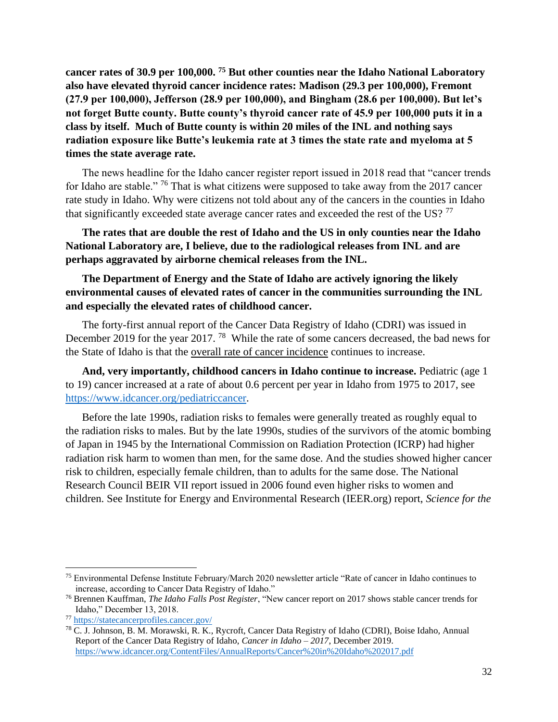**cancer rates of 30.9 per 100,000. <sup>75</sup> But other counties near the Idaho National Laboratory also have elevated thyroid cancer incidence rates: Madison (29.3 per 100,000), Fremont (27.9 per 100,000), Jefferson (28.9 per 100,000), and Bingham (28.6 per 100,000). But let's not forget Butte county. Butte county's thyroid cancer rate of 45.9 per 100,000 puts it in a class by itself. Much of Butte county is within 20 miles of the INL and nothing says radiation exposure like Butte's leukemia rate at 3 times the state rate and myeloma at 5 times the state average rate.**

The news headline for the Idaho cancer register report issued in 2018 read that "cancer trends for Idaho are stable." <sup>76</sup> That is what citizens were supposed to take away from the 2017 cancer rate study in Idaho. Why were citizens not told about any of the cancers in the counties in Idaho that significantly exceeded state average cancer rates and exceeded the rest of the US?<sup>77</sup>

**The rates that are double the rest of Idaho and the US in only counties near the Idaho National Laboratory are, I believe, due to the radiological releases from INL and are perhaps aggravated by airborne chemical releases from the INL.**

**The Department of Energy and the State of Idaho are actively ignoring the likely environmental causes of elevated rates of cancer in the communities surrounding the INL and especially the elevated rates of childhood cancer.**

The forty-first annual report of the Cancer Data Registry of Idaho (CDRI) was issued in December 2019 for the year 2017.<sup>78</sup> While the rate of some cancers decreased, the bad news for the State of Idaho is that the overall rate of cancer incidence continues to increase.

**And, very importantly, childhood cancers in Idaho continue to increase.** Pediatric (age 1 to 19) cancer increased at a rate of about 0.6 percent per year in Idaho from 1975 to 2017, see [https://www.idcancer.org/pediatriccancer.](https://www.idcancer.org/pediatriccancer)

Before the late 1990s, radiation risks to females were generally treated as roughly equal to the radiation risks to males. But by the late 1990s, studies of the survivors of the atomic bombing of Japan in 1945 by the International Commission on Radiation Protection (ICRP) had higher radiation risk harm to women than men, for the same dose. And the studies showed higher cancer risk to children, especially female children, than to adults for the same dose. The National Research Council BEIR VII report issued in 2006 found even higher risks to women and children. See Institute for Energy and Environmental Research (IEER.org) report, *Science for the* 

<sup>75</sup> Environmental Defense Institute February/March 2020 newsletter article "Rate of cancer in Idaho continues to increase, according to Cancer Data Registry of Idaho."

<sup>76</sup> Brennen Kauffman, *The Idaho Falls Post Register*, "New cancer report on 2017 shows stable cancer trends for Idaho," December 13, 2018.

<sup>77</sup> <https://statecancerprofiles.cancer.gov/>

<sup>78</sup> C. J. Johnson, B. M. Morawski, R. K., Rycroft, Cancer Data Registry of Idaho (CDRI), Boise Idaho, Annual Report of the Cancer Data Registry of Idaho, *Cancer in Idaho – 2017*, December 2019. <https://www.idcancer.org/ContentFiles/AnnualReports/Cancer%20in%20Idaho%202017.pdf>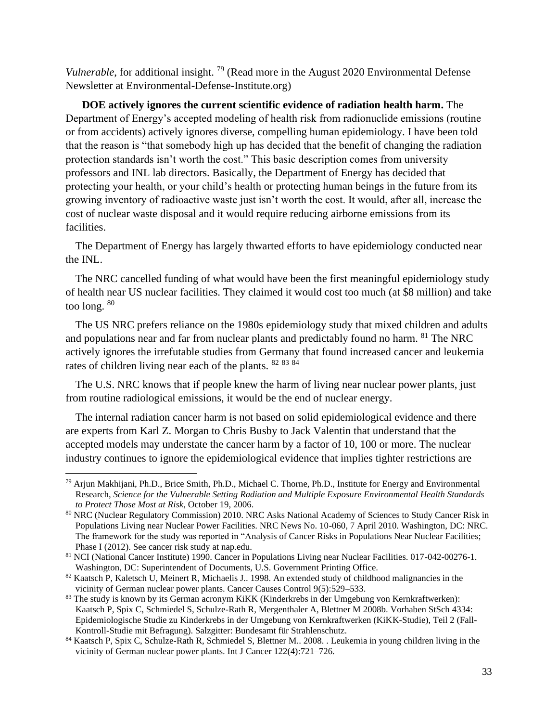*Vulnerable*, for additional insight.<sup>79</sup> (Read more in the August 2020 Environmental Defense Newsletter at Environmental-Defense-Institute.org)

**DOE actively ignores the current scientific evidence of radiation health harm.** The Department of Energy's accepted modeling of health risk from radionuclide emissions (routine or from accidents) actively ignores diverse, compelling human epidemiology. I have been told that the reason is "that somebody high up has decided that the benefit of changing the radiation protection standards isn't worth the cost." This basic description comes from university professors and INL lab directors. Basically, the Department of Energy has decided that protecting your health, or your child's health or protecting human beings in the future from its growing inventory of radioactive waste just isn't worth the cost. It would, after all, increase the cost of nuclear waste disposal and it would require reducing airborne emissions from its facilities.

The Department of Energy has largely thwarted efforts to have epidemiology conducted near the INL.

The NRC cancelled funding of what would have been the first meaningful epidemiology study of health near US nuclear facilities. They claimed it would cost too much (at \$8 million) and take too long. <sup>80</sup>

The US NRC prefers reliance on the 1980s epidemiology study that mixed children and adults and populations near and far from nuclear plants and predictably found no harm. <sup>81</sup> The NRC actively ignores the irrefutable studies from Germany that found increased cancer and leukemia rates of children living near each of the plants. <sup>82</sup> <sup>83</sup> <sup>84</sup>

The U.S. NRC knows that if people knew the harm of living near nuclear power plants, just from routine radiological emissions, it would be the end of nuclear energy.

The internal radiation cancer harm is not based on solid epidemiological evidence and there are experts from Karl Z. Morgan to Chris Busby to Jack Valentin that understand that the accepted models may understate the cancer harm by a factor of 10, 100 or more. The nuclear industry continues to ignore the epidemiological evidence that implies tighter restrictions are

<sup>79</sup> Arjun Makhijani, Ph.D., Brice Smith, Ph.D., Michael C. Thorne, Ph.D., Institute for Energy and Environmental Research, *Science for the Vulnerable Setting Radiation and Multiple Exposure Environmental Health Standards to Protect Those Most at Risk*, October 19, 2006.

<sup>80</sup> NRC (Nuclear Regulatory Commission) 2010. NRC Asks National Academy of Sciences to Study Cancer Risk in Populations Living near Nuclear Power Facilities. NRC News No. 10-060, 7 April 2010. Washington, DC: NRC. The framework for the study was reported in "Analysis of Cancer Risks in Populations Near Nuclear Facilities; Phase I (2012). See cancer risk study at nap.edu.

<sup>&</sup>lt;sup>81</sup> NCI (National Cancer Institute) 1990. Cancer in Populations Living near Nuclear Facilities. 017-042-00276-1. Washington, DC: Superintendent of Documents, U.S. Government Printing Office.

 $82$  Kaatsch P, Kaletsch U, Meinert R, Michaelis J.. 1998. An extended study of childhood malignancies in the vicinity of German nuclear power plants. Cancer Causes Control 9(5):529–533.

<sup>83</sup> The study is known by its German acronym KiKK (Kinderkrebs in der Umgebung von Kernkraftwerken): Kaatsch P, Spix C, Schmiedel S, Schulze-Rath R, Mergenthaler A, Blettner M 2008b. Vorhaben StSch 4334: Epidemiologische Studie zu Kinderkrebs in der Umgebung von Kernkraftwerken (KiKK-Studie), Teil 2 (Fall-Kontroll-Studie mit Befragung). Salzgitter: Bundesamt für Strahlenschutz.

<sup>84</sup> Kaatsch P, Spix C, Schulze-Rath R, Schmiedel S, Blettner M.. 2008. . Leukemia in young children living in the vicinity of German nuclear power plants. Int J Cancer 122(4):721–726.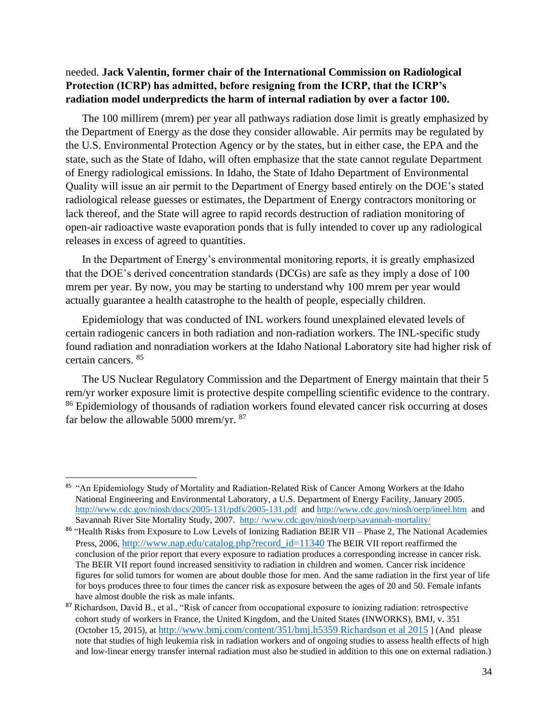## needed. **Jack Valentin, former chair of the International Commission on Radiological Protection (ICRP) has admitted, before resigning from the ICRP, that the ICRP's radiation model underpredicts the harm of internal radiation by over a factor 100.**

The 100 millirem (mrem) per year all pathways radiation dose limit is greatly emphasized by the Department of Energy as the dose they consider allowable. Air permits may be regulated by the U.S. Environmental Protection Agency or by the states, but in either case, the EPA and the state, such as the State of Idaho, will often emphasize that the state cannot regulate Department of Energy radiological emissions. In Idaho, the State of Idaho Department of Environmental Quality will issue an air permit to the Department of Energy based entirely on the DOE's stated radiological release guesses or estimates, the Department of Energy contractors monitoring or lack thereof, and the State will agree to rapid records destruction of radiation monitoring of open-air radioactive waste evaporation ponds that is fully intended to cover up any radiological releases in excess of agreed to quantities.

In the Department of Energy's environmental monitoring reports, it is greatly emphasized that the DOE's derived concentration standards (DCGs) are safe as they imply a dose of 100 mrem per year. By now, you may be starting to understand why 100 mrem per year would actually guarantee a health catastrophe to the health of people, especially children.

Epidemiology that was conducted of INL workers found unexplained elevated levels of certain radiogenic cancers in both radiation and non-radiation workers. The INL-specific study found radiation and nonradiation workers at the Idaho National Laboratory site had higher risk of certain cancers. <sup>85</sup>

The US Nuclear Regulatory Commission and the Department of Energy maintain that their 5 rem/yr worker exposure limit is protective despite compelling scientific evidence to the contrary. <sup>86</sup> Epidemiology of thousands of radiation workers found elevated cancer risk occurring at doses far below the allowable 5000 mrem/yr. <sup>87</sup>

<sup>&</sup>lt;sup>85</sup> "An Epidemiology Study of Mortality and Radiation-Related Risk of Cancer Among Workers at the Idaho National Engineering and Environmental Laboratory, a U.S. Department of Energy Facility, January 2005. <http://www.cdc.gov/niosh/docs/2005-131/pdfs/2005-131.pdf>and<http://www.cdc.gov/niosh/oerp/ineel.htm>and Savannah River Site Mortality Study, 2007. http:/ [/www.cdc.gov/niosh/oerp/savannah-mortality/](http://www.cdc.gov/niosh/oerp/savannah-mortality/)

<sup>86 &</sup>quot;Health Risks from Exposure to Low Levels of Ionizing Radiation BEIR VII – Phase 2, The National Academies Press, 2006, [http://www.nap.edu/catalog.php?record\\_id=11340](http://www.nap.edu/catalog.php?record_id=11340) The BEIR VII report reaffirmed the conclusion of the prior report that every exposure to radiation produces a corresponding increase in cancer risk. The BEIR VII report found increased sensitivity to radiation in children and women. Cancer risk incidence figures for solid tumors for women are about double those for men. And the same radiation in the first year of life for boys produces three to four times the cancer risk as exposure between the ages of 20 and 50. Female infants have almost double the risk as male infants.

<sup>&</sup>lt;sup>87</sup> Richardson, David B., et al., "Risk of cancer from occupational exposure to ionizing radiation: retrospective cohort study of workers in France, the United Kingdom, and the United States (INWORKS), BMJ, v. 351 (October 15, 2015), at [http://www.bmj.com/content/351/bmj.h5359 Richardson et al 2015](http://www.bmj.com/content/351/bmj.h5359%20Richardson%20et%20al%202015) ] (And please note that studies of high leukemia risk in radiation workers and of ongoing studies to assess health effects of high and low-linear energy transfer internal radiation must also be studied in addition to this one on external radiation.)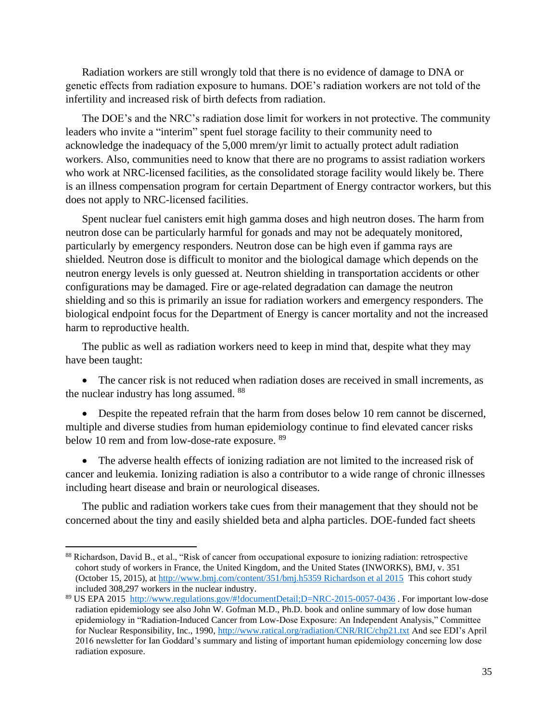Radiation workers are still wrongly told that there is no evidence of damage to DNA or genetic effects from radiation exposure to humans. DOE's radiation workers are not told of the infertility and increased risk of birth defects from radiation.

The DOE's and the NRC's radiation dose limit for workers in not protective. The community leaders who invite a "interim" spent fuel storage facility to their community need to acknowledge the inadequacy of the 5,000 mrem/yr limit to actually protect adult radiation workers. Also, communities need to know that there are no programs to assist radiation workers who work at NRC-licensed facilities, as the consolidated storage facility would likely be. There is an illness compensation program for certain Department of Energy contractor workers, but this does not apply to NRC-licensed facilities.

Spent nuclear fuel canisters emit high gamma doses and high neutron doses. The harm from neutron dose can be particularly harmful for gonads and may not be adequately monitored, particularly by emergency responders. Neutron dose can be high even if gamma rays are shielded. Neutron dose is difficult to monitor and the biological damage which depends on the neutron energy levels is only guessed at. Neutron shielding in transportation accidents or other configurations may be damaged. Fire or age-related degradation can damage the neutron shielding and so this is primarily an issue for radiation workers and emergency responders. The biological endpoint focus for the Department of Energy is cancer mortality and not the increased harm to reproductive health.

The public as well as radiation workers need to keep in mind that, despite what they may have been taught:

• The cancer risk is not reduced when radiation doses are received in small increments, as the nuclear industry has long assumed. <sup>88</sup>

• Despite the repeated refrain that the harm from doses below 10 rem cannot be discerned, multiple and diverse studies from human epidemiology continue to find elevated cancer risks below 10 rem and from low-dose-rate exposure. <sup>89</sup>

• The adverse health effects of ionizing radiation are not limited to the increased risk of cancer and leukemia. Ionizing radiation is also a contributor to a wide range of chronic illnesses including heart disease and brain or neurological diseases.

The public and radiation workers take cues from their management that they should not be concerned about the tiny and easily shielded beta and alpha particles. DOE-funded fact sheets

<sup>88</sup> Richardson, David B., et al., "Risk of cancer from occupational exposure to ionizing radiation: retrospective cohort study of workers in France, the United Kingdom, and the United States (INWORKS), BMJ, v. 351 (October 15, 2015), at [http://www.bmj.com/content/351/bmj.h5359 Richardson et al 2015](http://www.bmj.com/content/351/bmj.h5359%20Richardson%20et%20al%202015) This cohort study included 308,297 workers in the nuclear industry.

<sup>89</sup> US EPA 2015<http://www.regulations.gov/#!documentDetail;D=NRC-2015-0057-0436> . For important low-dose radiation epidemiology see also John W. Gofman M.D., Ph.D. book and online summary of low dose human epidemiology in "Radiation-Induced Cancer from Low-Dose Exposure: An Independent Analysis," Committee for Nuclear Responsibility, Inc., 1990,<http://www.ratical.org/radiation/CNR/RIC/chp21.txt> And see EDI's April 2016 newsletter for Ian Goddard's summary and listing of important human epidemiology concerning low dose radiation exposure.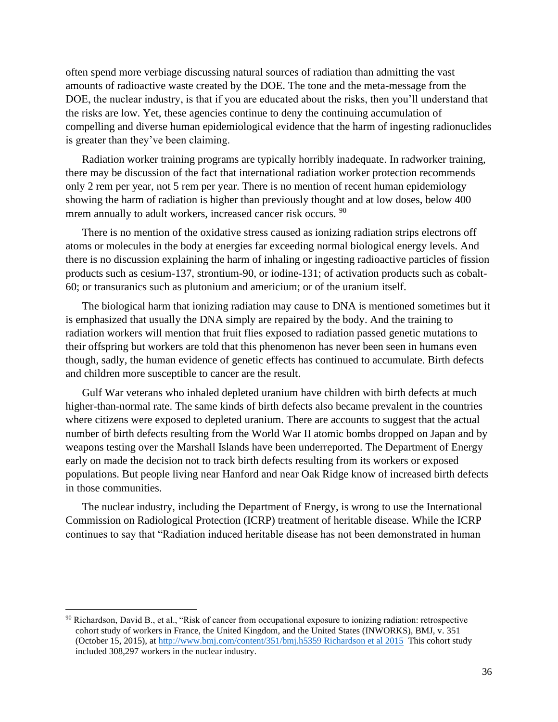often spend more verbiage discussing natural sources of radiation than admitting the vast amounts of radioactive waste created by the DOE. The tone and the meta-message from the DOE, the nuclear industry, is that if you are educated about the risks, then you'll understand that the risks are low. Yet, these agencies continue to deny the continuing accumulation of compelling and diverse human epidemiological evidence that the harm of ingesting radionuclides is greater than they've been claiming.

Radiation worker training programs are typically horribly inadequate. In radworker training, there may be discussion of the fact that international radiation worker protection recommends only 2 rem per year, not 5 rem per year. There is no mention of recent human epidemiology showing the harm of radiation is higher than previously thought and at low doses, below 400 mrem annually to adult workers, increased cancer risk occurs. <sup>90</sup>

There is no mention of the oxidative stress caused as ionizing radiation strips electrons off atoms or molecules in the body at energies far exceeding normal biological energy levels. And there is no discussion explaining the harm of inhaling or ingesting radioactive particles of fission products such as cesium-137, strontium-90, or iodine-131; of activation products such as cobalt-60; or transuranics such as plutonium and americium; or of the uranium itself.

The biological harm that ionizing radiation may cause to DNA is mentioned sometimes but it is emphasized that usually the DNA simply are repaired by the body. And the training to radiation workers will mention that fruit flies exposed to radiation passed genetic mutations to their offspring but workers are told that this phenomenon has never been seen in humans even though, sadly, the human evidence of genetic effects has continued to accumulate. Birth defects and children more susceptible to cancer are the result.

Gulf War veterans who inhaled depleted uranium have children with birth defects at much higher-than-normal rate. The same kinds of birth defects also became prevalent in the countries where citizens were exposed to depleted uranium. There are accounts to suggest that the actual number of birth defects resulting from the World War II atomic bombs dropped on Japan and by weapons testing over the Marshall Islands have been underreported. The Department of Energy early on made the decision not to track birth defects resulting from its workers or exposed populations. But people living near Hanford and near Oak Ridge know of increased birth defects in those communities.

The nuclear industry, including the Department of Energy, is wrong to use the International Commission on Radiological Protection (ICRP) treatment of heritable disease. While the ICRP continues to say that "Radiation induced heritable disease has not been demonstrated in human

 $90$  Richardson, David B., et al., "Risk of cancer from occupational exposure to ionizing radiation: retrospective cohort study of workers in France, the United Kingdom, and the United States (INWORKS), BMJ, v. 351 (October 15, 2015), at [http://www.bmj.com/content/351/bmj.h5359 Richardson et al 2015](http://www.bmj.com/content/351/bmj.h5359%20Richardson%20et%20al%202015) This cohort study included 308,297 workers in the nuclear industry.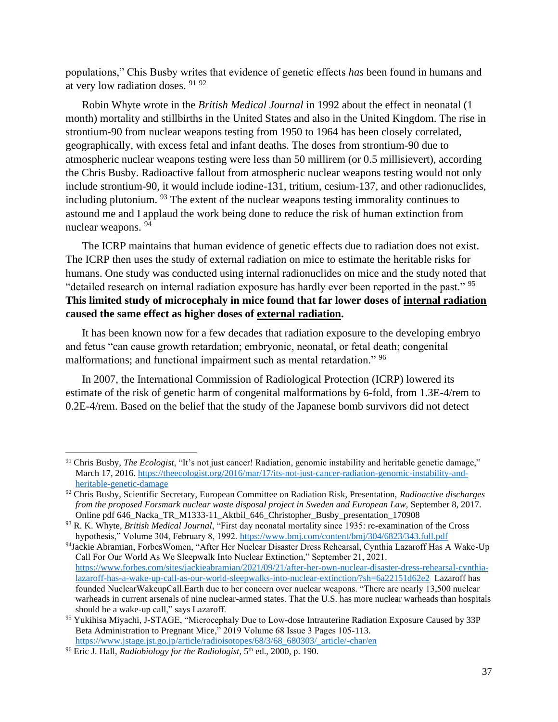populations," Chis Busby writes that evidence of genetic effects *has* been found in humans and at very low radiation doses. <sup>91</sup> <sup>92</sup>

Robin Whyte wrote in the *British Medical Journal* in 1992 about the effect in neonatal (1 month) mortality and stillbirths in the United States and also in the United Kingdom. The rise in strontium-90 from nuclear weapons testing from 1950 to 1964 has been closely correlated, geographically, with excess fetal and infant deaths. The doses from strontium-90 due to atmospheric nuclear weapons testing were less than 50 millirem (or 0.5 millisievert), according the Chris Busby. Radioactive fallout from atmospheric nuclear weapons testing would not only include strontium-90, it would include iodine-131, tritium, cesium-137, and other radionuclides, including plutonium. <sup>93</sup> The extent of the nuclear weapons testing immorality continues to astound me and I applaud the work being done to reduce the risk of human extinction from nuclear weapons. <sup>94</sup>

The ICRP maintains that human evidence of genetic effects due to radiation does not exist. The ICRP then uses the study of external radiation on mice to estimate the heritable risks for humans. One study was conducted using internal radionuclides on mice and the study noted that "detailed research on internal radiation exposure has hardly ever been reported in the past." <sup>95</sup> **This limited study of microcephaly in mice found that far lower doses of internal radiation caused the same effect as higher doses of external radiation.** 

It has been known now for a few decades that radiation exposure to the developing embryo and fetus "can cause growth retardation; embryonic, neonatal, or fetal death; congenital malformations; and functional impairment such as mental retardation." <sup>96</sup>

In 2007, the International Commission of Radiological Protection (ICRP) lowered its estimate of the risk of genetic harm of congenital malformations by 6-fold, from 1.3E-4/rem to 0.2E-4/rem. Based on the belief that the study of the Japanese bomb survivors did not detect

<sup>91</sup> Chris Busby, *The Ecologist*, "It's not just cancer! Radiation, genomic instability and heritable genetic damage," March 17, 2016. [https://theecologist.org/2016/mar/17/its-not-just-cancer-radiation-genomic-instability-and](https://theecologist.org/2016/mar/17/its-not-just-cancer-radiation-genomic-instability-and-heritable-genetic-damage)[heritable-genetic-damage](https://theecologist.org/2016/mar/17/its-not-just-cancer-radiation-genomic-instability-and-heritable-genetic-damage)

<sup>92</sup> Chris Busby, Scientific Secretary, European Committee on Radiation Risk, Presentation, *Radioactive discharges from the proposed Forsmark nuclear waste disposal project in Sweden and European Law*, September 8, 2017. Online pdf 646\_Nacka\_TR\_M1333-11\_Aktbil\_646\_Christopher\_Busby\_presentation\_170908

<sup>93</sup> R. K. Whyte, *British Medical Journal*, "First day neonatal mortality since 1935: re-examination of the Cross hypothesis," Volume 304, February 8, 1992.<https://www.bmj.com/content/bmj/304/6823/343.full.pdf>

<sup>94</sup>Jackie Abramian, ForbesWomen, "After Her Nuclear Disaster Dress Rehearsal, Cynthia Lazaroff Has A Wake-Up Call For Our World As We Sleepwalk Into Nuclear Extinction," September 21, 2021. [https://www.forbes.com/sites/jackieabramian/2021/09/21/after-her-own-nuclear-disaster-dress-rehearsal-cynthia](https://www.forbes.com/sites/jackieabramian/2021/09/21/after-her-own-nuclear-disaster-dress-rehearsal-cynthia-lazaroff-has-a-wake-up-call-as-our-world-sleepwalks-into-nuclear-extinction/?sh=6a22151d62e2)[lazaroff-has-a-wake-up-call-as-our-world-sleepwalks-into-nuclear-extinction/?sh=6a22151d62e2](https://www.forbes.com/sites/jackieabramian/2021/09/21/after-her-own-nuclear-disaster-dress-rehearsal-cynthia-lazaroff-has-a-wake-up-call-as-our-world-sleepwalks-into-nuclear-extinction/?sh=6a22151d62e2) Lazaroff has founded NuclearWakeupCall.Earth due to her concern over nuclear weapons. "There are nearly 13,500 nuclear warheads in current arsenals of nine nuclear-armed states. That the U.S. has more nuclear warheads than hospitals should be a wake-up call," says Lazaroff.

<sup>95</sup> Yukihisa Miyachi, J-STAGE, "Microcephaly Due to Low-dose Intrauterine Radiation Exposure Caused by 33P Beta Administration to Pregnant Mice," 2019 Volume 68 Issue 3 Pages 105-113. [https://www.jstage.jst.go.jp/article/radioisotopes/68/3/68\\_680303/\\_article/-char/en](https://www.jstage.jst.go.jp/article/radioisotopes/68/3/68_680303/_article/-char/en)

<sup>&</sup>lt;sup>96</sup> Eric J. Hall, *Radiobiology for the Radiologist*, 5<sup>th</sup> ed., 2000, p. 190.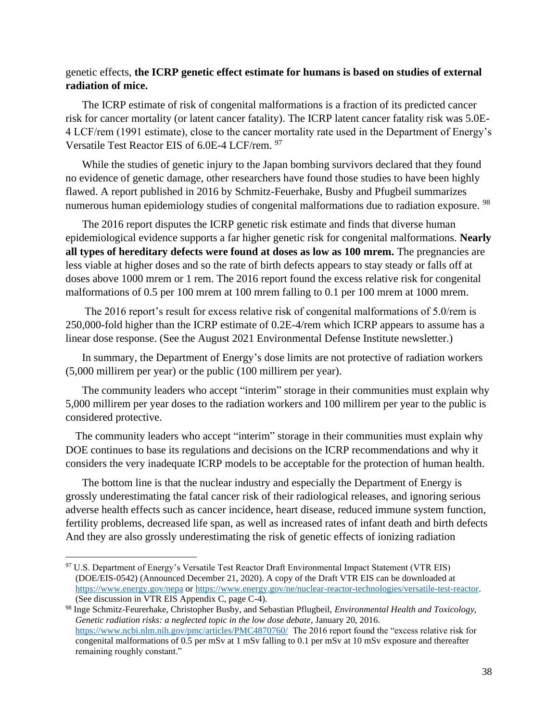#### genetic effects, **the ICRP genetic effect estimate for humans is based on studies of external radiation of mice.**

The ICRP estimate of risk of congenital malformations is a fraction of its predicted cancer risk for cancer mortality (or latent cancer fatality). The ICRP latent cancer fatality risk was 5.0E-4 LCF/rem (1991 estimate), close to the cancer mortality rate used in the Department of Energy's Versatile Test Reactor EIS of 6.0E-4 LCF/rem. <sup>97</sup>

While the studies of genetic injury to the Japan bombing survivors declared that they found no evidence of genetic damage, other researchers have found those studies to have been highly flawed. A report published in 2016 by Schmitz-Feuerhake, Busby and Pfugbeil summarizes numerous human epidemiology studies of congenital malformations due to radiation exposure. <sup>98</sup>

The 2016 report disputes the ICRP genetic risk estimate and finds that diverse human epidemiological evidence supports a far higher genetic risk for congenital malformations. **Nearly all types of hereditary defects were found at doses as low as 100 mrem.** The pregnancies are less viable at higher doses and so the rate of birth defects appears to stay steady or falls off at doses above 1000 mrem or 1 rem. The 2016 report found the excess relative risk for congenital malformations of 0.5 per 100 mrem at 100 mrem falling to 0.1 per 100 mrem at 1000 mrem.

The 2016 report's result for excess relative risk of congenital malformations of 5.0/rem is 250,000-fold higher than the ICRP estimate of 0.2E-4/rem which ICRP appears to assume has a linear dose response. (See the August 2021 Environmental Defense Institute newsletter.)

In summary, the Department of Energy's dose limits are not protective of radiation workers (5,000 millirem per year) or the public (100 millirem per year).

The community leaders who accept "interim" storage in their communities must explain why 5,000 millirem per year doses to the radiation workers and 100 millirem per year to the public is considered protective.

The community leaders who accept "interim" storage in their communities must explain why DOE continues to base its regulations and decisions on the ICRP recommendations and why it considers the very inadequate ICRP models to be acceptable for the protection of human health.

The bottom line is that the nuclear industry and especially the Department of Energy is grossly underestimating the fatal cancer risk of their radiological releases, and ignoring serious adverse health effects such as cancer incidence, heart disease, reduced immune system function, fertility problems, decreased life span, as well as increased rates of infant death and birth defects And they are also grossly underestimating the risk of genetic effects of ionizing radiation

<sup>97</sup> U.S. Department of Energy's Versatile Test Reactor Draft Environmental Impact Statement (VTR EIS) (DOE/EIS-0542) (Announced December 21, 2020). A copy of the Draft VTR EIS can be downloaded at <https://www.energy.gov/nepa> o[r https://www.energy.gov/ne/nuclear-reactor-technologies/versatile-test-reactor.](https://www.energy.gov/ne/nuclear-reactor-technologies/versatile-test-reactor) (See discussion in VTR EIS Appendix C, page C-4).

<sup>98</sup> Inge Schmitz-Feurerhake, Christopher Busby, and Sebastian Pflugbeil, *Environmental Health and Toxicology, Genetic radiation risks: a neglected topic in the low dose debate*, January 20, 2016. <https://www.ncbi.nlm.nih.gov/pmc/articles/PMC4870760/>The 2016 report found the "excess relative risk for congenital malformations of 0.5 per mSv at 1 mSv falling to 0.1 per mSv at 10 mSv exposure and thereafter remaining roughly constant."